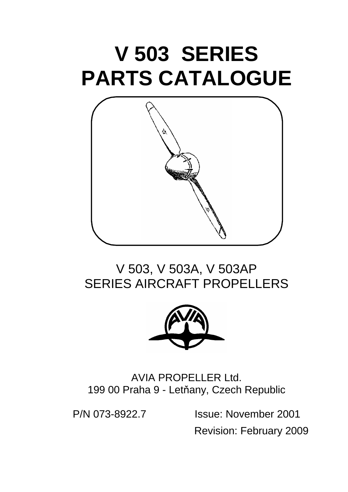# **V 503 SERIES PARTS CATALOGUE**



# V 503, V 503A, V 503AP SERIES AIRCRAFT PROPELLERS



AVIA PROPELLER Ltd. 199 00 Praha 9 - Letňany, Czech Republic

P/N 073-8922.7 Issue: November 2001 Revision: February 2009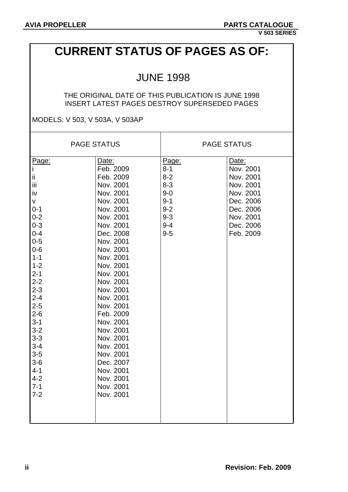## **CURRENT STATUS OF PAGES AS OF:**

### JUNE 1998

#### THE ORIGINAL DATE OF THIS PUBLICATION IS JUNE 1998 INSERT LATEST PAGES DESTROY SUPERSEDED PAGES

MODELS: V 503, V 503A, V 503AP

|                                   | <b>PAGE STATUS</b>                  |                                        | <b>PAGE STATUS</b>                  |
|-----------------------------------|-------------------------------------|----------------------------------------|-------------------------------------|
| Page:<br>$\mathbf i$<br>ij.<br>Ϊİ | Date:<br>Feb. 2009<br>Feb. 2009     | Page:<br>$8 - 1$<br>$8 - 2$<br>$8 - 3$ | Date:<br>Nov. 2001<br>Nov. 2001     |
| iv<br>v                           | Nov. 2001<br>Nov. 2001<br>Nov. 2001 | $9 - 0$<br>$9 - 1$                     | Nov. 2001<br>Nov. 2001<br>Dec. 2006 |
| $0 - 1$<br>$0 - 2$<br>$0 - 3$     | Nov. 2001<br>Nov. 2001<br>Nov. 2001 | $9 - 2$<br>$9 - 3$<br>$9 - 4$          | Dec. 2006<br>Nov. 2001<br>Dec. 2006 |
| $0 - 4$<br>$0 - 5$<br>$0-6$       | Dec. 2008<br>Nov. 2001<br>Nov. 2001 | $9-5$                                  | Feb. 2009                           |
| $1 - 1$<br>$1 - 2$<br>$2 - 1$     | Nov. 2001<br>Nov. 2001<br>Nov. 2001 |                                        |                                     |
| $2 - 2$<br>$2 - 3$<br>$2 - 4$     | Nov. 2001<br>Nov. 2001<br>Nov. 2001 |                                        |                                     |
| $2 - 5$<br>$2 - 6$<br>$3 - 1$     | Nov. 2001<br>Feb. 2009<br>Nov. 2001 |                                        |                                     |
| $3 - 2$<br>$3 - 3$<br>$3 - 4$     | Nov. 2001<br>Nov. 2001<br>Nov. 2001 |                                        |                                     |
| $3 - 5$<br>$3-6$<br>$4 - 1$       | Nov. 2001<br>Dec. 2007<br>Nov. 2001 |                                        |                                     |
| $4 - 2$<br>$7 - 1$<br>$7 - 2$     | Nov. 2001<br>Nov. 2001<br>Nov. 2001 |                                        |                                     |
|                                   |                                     |                                        |                                     |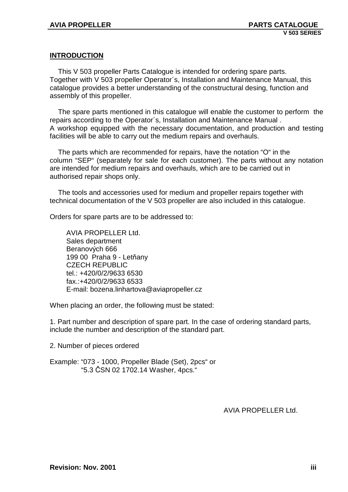#### **INTRODUCTION**

 This V 503 propeller Parts Catalogue is intended for ordering spare parts. Together with V 503 propeller Operator´s, Installation and Maintenance Manual, this catalogue provides a better understanding of the constructural desing, function and assembly of this propeller.

 The spare parts mentioned in this catalogue will enable the customer to perform the repairs according to the Operator´s, Installation and Maintenance Manual . A workshop equipped with the necessary documentation, and production and testing facilities will be able to carry out the medium repairs and overhauls.

 The parts which are recommended for repairs, have the notation "O" in the column "SEP" (separately for sale for each customer). The parts without any notation are intended for medium repairs and overhauls, which are to be carried out in authorised repair shops only.

 The tools and accessories used for medium and propeller repairs together with technical documentation of the V 503 propeller are also included in this catalogue.

Orders for spare parts are to be addressed to:

 AVIA PROPELLER Ltd. Sales department Beranových 666 199 00 Praha 9 - Letňany CZECH REPUBLIC tel.: +420/0/2/9633 6530 fax.:+420/0/2/9633 6533 E-mail: bozena.linhartova@aviapropeller.cz

When placing an order, the following must be stated:

1. Part number and description of spare part. In the case of ordering standard parts, include the number and description of the standard part.

2. Number of pieces ordered

Example: "073 - 1000, Propeller Blade (Set), 2pcs" or "5.3 ČSN 02 1702.14 Washer, 4pcs."

AVIA PROPELLER Ltd.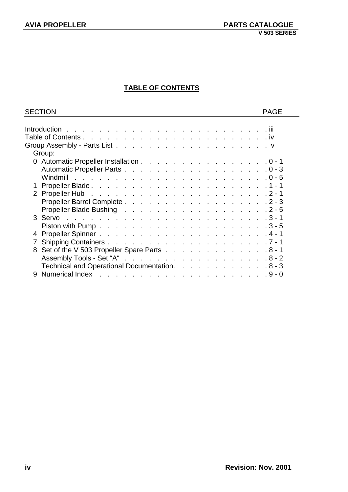### **TABLE OF CONTENTS**

| <b>SECTION</b>                                 | <b>PAGE</b> |
|------------------------------------------------|-------------|
|                                                |             |
|                                                |             |
|                                                |             |
|                                                |             |
| Group:                                         |             |
| 0 Automatic Propeller Installation 0 - 1       |             |
|                                                |             |
|                                                |             |
|                                                |             |
|                                                |             |
|                                                |             |
|                                                |             |
|                                                |             |
|                                                |             |
| 4                                              |             |
|                                                |             |
| 8 Set of the V 503 Propeller Spare Parts 8 - 1 |             |
|                                                |             |
| Technical and Operational Documentation. 8 - 3 |             |
| 9                                              |             |
|                                                |             |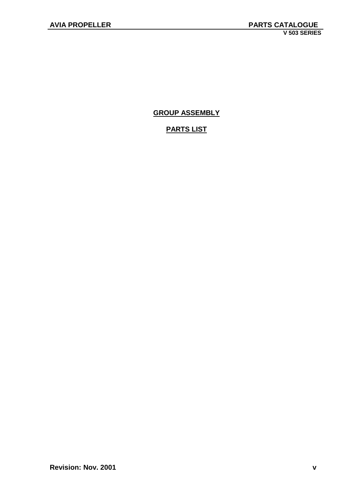**GROUP ASSEMBLY**

### **PARTS LIST**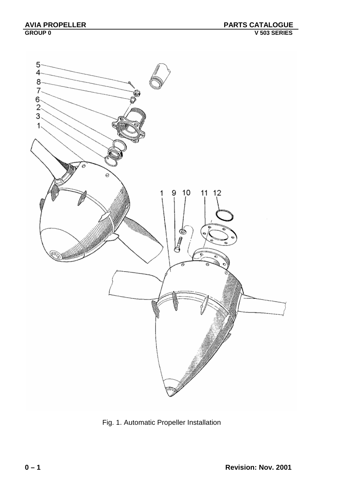

Fig. 1. Automatic Propeller Installation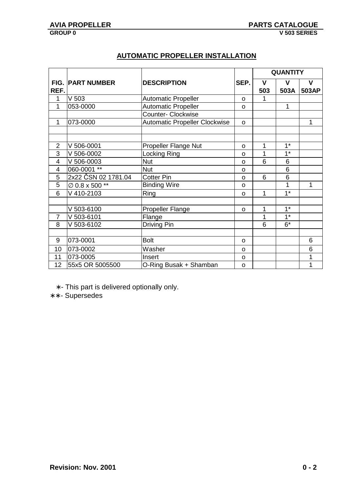|                         |                         |                                      |          |             | <b>QUANTITY</b> |             |
|-------------------------|-------------------------|--------------------------------------|----------|-------------|-----------------|-------------|
|                         | <b>FIG. PART NUMBER</b> | <b>DESCRIPTION</b>                   | SEP.     | $\mathbf v$ | V               | $\mathbf v$ |
| REF.                    |                         |                                      |          | 503         | 503A            | 503AP       |
| 1                       | V <sub>503</sub>        | <b>Automatic Propeller</b>           | $\Omega$ | 1           |                 |             |
| 1                       | 053-0000                | <b>Automatic Propeller</b>           | O        |             | 1               |             |
|                         |                         | <b>Counter- Clockwise</b>            |          |             |                 |             |
| 1                       | 073-0000                | <b>Automatic Propeller Clockwise</b> | O        |             |                 | 1           |
|                         |                         |                                      |          |             |                 |             |
|                         |                         |                                      |          |             |                 |             |
| $\overline{2}$          | V 506-0001              | Propeller Flange Nut                 | O        | 1           | $1*$            |             |
| 3                       | V 506-0002              | Locking Ring                         | O        | 1           | $1*$            |             |
| $\overline{\mathbf{4}}$ | V 506-0003              | <b>Nut</b>                           | O        | 6           | 6               |             |
| 4                       | 060-0001 **             | <b>Nut</b>                           | O        |             | $6\phantom{1}6$ |             |
| 5                       | 2x22 ČSN 02 1781.04     | <b>Cotter Pin</b>                    | O        | 6           | 6               |             |
| 5                       | Ø 0.8 x 500 **          | <b>Binding Wire</b>                  | $\Omega$ |             | 1               | 1           |
| 6                       | V 410-2103              | Ring                                 | O        | 1           | $1*$            |             |
|                         |                         |                                      |          |             |                 |             |
|                         | V 503-6100              | <b>Propeller Flange</b>              | $\Omega$ | 1           | $1^*$           |             |
| $\overline{7}$          | V 503-6101              | Flange                               |          | 1           | $1^*$           |             |
| 8                       | V 503-6102              | Driving Pin                          |          | 6           | $6*$            |             |
|                         |                         |                                      |          |             |                 |             |
| 9                       | 073-0001                | <b>Bolt</b>                          | O        |             |                 | 6           |
| 10                      | 073-0002                | Washer                               | O        |             |                 | 6           |
| 11                      | 073-0005                | Insert                               | O        |             |                 | 1           |
| 12                      | 55x5 OR 5005500         | O-Ring Busak + Shamban               | O        |             |                 | 1           |

### **AUTOMATIC PROPELLER INSTALLATION**

∗ - This part is delivered optionally only.

∗ ∗ - Supersedes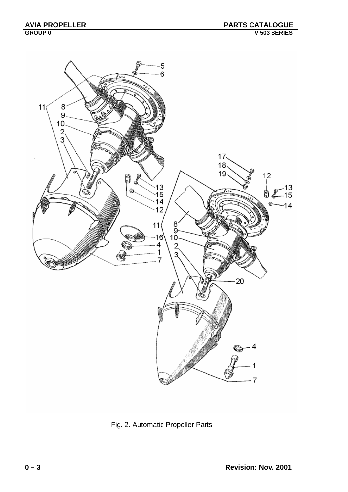

Fig. 2. Automatic Propeller Parts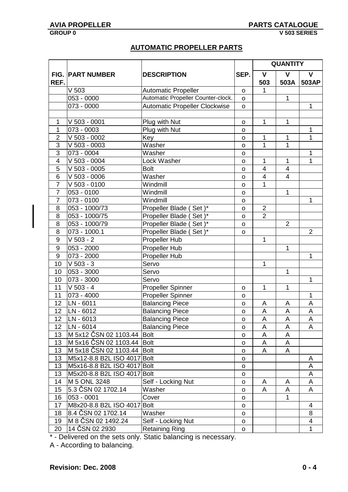### **AUTOMATIC PROPELLER PARTS**

| $\mathbf{V}$<br><b>FIG. PART NUMBER</b><br>$\mathsf{V}$<br><b>DESCRIPTION</b><br>SEP.<br>V<br>REF.<br>503<br>503A<br>503AP<br>V <sub>503</sub><br><b>Automatic Propeller</b><br>$\mathsf{o}$<br>Automatic Propeller Counter-clock.<br>053 - 0000<br>$\mathbf 1$<br>$\mathsf{o}$<br>Automatic Propeller Clockwise<br>1<br>073 - 0000<br>$\mathsf{o}$<br>Plug with Nut<br>V 503 - 0001<br>$\mathbf 1$<br>1<br>1<br>O<br>$\mathbf{1}$<br>$\overline{073} - 0003$<br>Plug with Nut<br>1<br>o<br>$\overline{2}$<br>V 503 - 0002<br>Key<br>1<br>1<br>1<br>o<br>$\overline{1}$<br>3<br>$\mathbf 1$<br>$V$ 503 - 0003<br>Washer<br>$\mathsf{o}$<br>3<br>073 - 0004<br>$\mathbf{1}$<br>Washer<br>O<br>$\overline{4}$<br>1<br>1<br>$\mathbf{1}$<br>$V$ 503 - 0004<br>Lock Washer<br>O<br>5<br>$V$ 503 - 0005<br>$\overline{\mathbf{4}}$<br>$\overline{\mathbf{4}}$<br><b>Bolt</b><br>o<br>$\overline{6}$<br>$\sqrt{503 - 0006}$<br>Washer<br>$\overline{4}$<br>$\overline{4}$<br>$\mathsf{o}$<br>$\overline{7}$<br>V 503 - 0100<br>1<br>Windmill<br>O<br>$\overline{7}$<br>$\mathbf 1$<br>053 - 0100<br>Windmill<br>o<br>Windmill<br>$\overline{7}$<br>073 - 0100<br>1<br>o<br>053 - 1000/73<br>Propeller Blade (Set)*<br>8<br>$\overline{2}$<br>o<br>Set $\overline{)^*}$<br>$\overline{2}$<br>8<br>053 - 1000/75<br>Propeller Blade (<br>O<br>053 - 1000/79<br>$\overline{2}$<br>8<br>Propeller Blade (Set)*<br>o<br>8<br>Propeller Blade (Set)*<br>073 - 1000.1<br>$\overline{2}$<br>o<br>$V$ 503 - 2<br>Propeller Hub<br>9<br>1<br>Propeller Hub<br>$\mathbf{1}$<br>$9\,$<br>053 - 2000<br>Propeller Hub<br>$9\,$<br>073 - 2000<br>$\mathbf 1$<br>10<br>$V$ 503 - 3<br>Servo<br>1<br>053 - 3000<br>$\mathbf{1}$<br>10<br>Servo<br>073 - 3000<br>1<br>10<br>Servo<br>11<br>$V$ 503 - 4<br>Propeller Spinner<br>1<br>1<br>o<br>11<br>073 - 4000<br>Propeller Spinner<br>1<br>o<br>LN - 6011<br>12<br><b>Balancing Piece</b><br>A<br>A<br>A<br>o<br>12<br>LN - 6012<br><b>Balancing Piece</b><br>A<br>A<br>Α<br>$\mathsf O$<br>$\overline{A}$<br>$\overline{A}$<br>$\overline{A}$<br>12<br>LN - 6013<br><b>Balancing Piece</b><br>$\mathsf{o}$<br>LN - 6014<br><b>Balancing Piece</b><br>12<br>A<br>A<br>A<br>o<br>M 5x12 ČSN 02 1103.44 Bolt<br>13<br>A<br>A<br>$\mathsf{o}$<br>M 5x16 ČSN 02 1103.44 Bolt<br>13<br>A<br>A<br>O<br>M 5x18 ČSN 02 1103.44 Bolt<br>13<br>A<br>A<br>o<br>13<br>M5x12-8.8 B2L ISO 4017 Bolt<br>A<br>o<br>M5x16-8.8 B2L ISO 4017 Bolt<br>13<br>A<br>$\mathsf{o}$<br>M5x20-8.8 B2L ISO 4017 Bolt<br>13<br>A<br>$\mathsf{o}$<br>M 5 ONL 3248<br>14<br>Self - Locking Nut<br>A<br>A<br>A<br>o<br>5.3 ČSN 02 1702.14<br>15<br>Washer<br>A<br>A<br>A<br>o<br>053 - 0001<br>16<br>Cover<br>1<br>$\mathsf{o}$<br>M8x20-8.8 B2L ISO 4017<br>17<br><b>Bolt</b><br>$\overline{4}$<br>$\mathsf{o}$<br>8.4 ČSN 02 1702.14<br>8<br>Washer<br>18<br>o<br>M 8 ČSN 02 1492.24<br>19<br>Self - Locking Nut<br>4<br>o<br>14 ČSN 02 2930<br>20<br><b>Retaining Ring</b><br>1<br>o |  |  | <b>QUANTITY</b> |  |
|-----------------------------------------------------------------------------------------------------------------------------------------------------------------------------------------------------------------------------------------------------------------------------------------------------------------------------------------------------------------------------------------------------------------------------------------------------------------------------------------------------------------------------------------------------------------------------------------------------------------------------------------------------------------------------------------------------------------------------------------------------------------------------------------------------------------------------------------------------------------------------------------------------------------------------------------------------------------------------------------------------------------------------------------------------------------------------------------------------------------------------------------------------------------------------------------------------------------------------------------------------------------------------------------------------------------------------------------------------------------------------------------------------------------------------------------------------------------------------------------------------------------------------------------------------------------------------------------------------------------------------------------------------------------------------------------------------------------------------------------------------------------------------------------------------------------------------------------------------------------------------------------------------------------------------------------------------------------------------------------------------------------------------------------------------------------------------------------------------------------------------------------------------------------------------------------------------------------------------------------------------------------------------------------------------------------------------------------------------------------------------------------------------------------------------------------------------------------------------------------------------------------------------------------------------------------------------------------------------------------------------------------------------------------------------------------------------------------------------------------------------------------------------------------------------------------------------------------------------------------------------------------------------------------------------------------------------------------------------------|--|--|-----------------|--|
|                                                                                                                                                                                                                                                                                                                                                                                                                                                                                                                                                                                                                                                                                                                                                                                                                                                                                                                                                                                                                                                                                                                                                                                                                                                                                                                                                                                                                                                                                                                                                                                                                                                                                                                                                                                                                                                                                                                                                                                                                                                                                                                                                                                                                                                                                                                                                                                                                                                                                                                                                                                                                                                                                                                                                                                                                                                                                                                                                                                   |  |  |                 |  |
|                                                                                                                                                                                                                                                                                                                                                                                                                                                                                                                                                                                                                                                                                                                                                                                                                                                                                                                                                                                                                                                                                                                                                                                                                                                                                                                                                                                                                                                                                                                                                                                                                                                                                                                                                                                                                                                                                                                                                                                                                                                                                                                                                                                                                                                                                                                                                                                                                                                                                                                                                                                                                                                                                                                                                                                                                                                                                                                                                                                   |  |  |                 |  |
|                                                                                                                                                                                                                                                                                                                                                                                                                                                                                                                                                                                                                                                                                                                                                                                                                                                                                                                                                                                                                                                                                                                                                                                                                                                                                                                                                                                                                                                                                                                                                                                                                                                                                                                                                                                                                                                                                                                                                                                                                                                                                                                                                                                                                                                                                                                                                                                                                                                                                                                                                                                                                                                                                                                                                                                                                                                                                                                                                                                   |  |  |                 |  |
|                                                                                                                                                                                                                                                                                                                                                                                                                                                                                                                                                                                                                                                                                                                                                                                                                                                                                                                                                                                                                                                                                                                                                                                                                                                                                                                                                                                                                                                                                                                                                                                                                                                                                                                                                                                                                                                                                                                                                                                                                                                                                                                                                                                                                                                                                                                                                                                                                                                                                                                                                                                                                                                                                                                                                                                                                                                                                                                                                                                   |  |  |                 |  |
|                                                                                                                                                                                                                                                                                                                                                                                                                                                                                                                                                                                                                                                                                                                                                                                                                                                                                                                                                                                                                                                                                                                                                                                                                                                                                                                                                                                                                                                                                                                                                                                                                                                                                                                                                                                                                                                                                                                                                                                                                                                                                                                                                                                                                                                                                                                                                                                                                                                                                                                                                                                                                                                                                                                                                                                                                                                                                                                                                                                   |  |  |                 |  |
|                                                                                                                                                                                                                                                                                                                                                                                                                                                                                                                                                                                                                                                                                                                                                                                                                                                                                                                                                                                                                                                                                                                                                                                                                                                                                                                                                                                                                                                                                                                                                                                                                                                                                                                                                                                                                                                                                                                                                                                                                                                                                                                                                                                                                                                                                                                                                                                                                                                                                                                                                                                                                                                                                                                                                                                                                                                                                                                                                                                   |  |  |                 |  |
|                                                                                                                                                                                                                                                                                                                                                                                                                                                                                                                                                                                                                                                                                                                                                                                                                                                                                                                                                                                                                                                                                                                                                                                                                                                                                                                                                                                                                                                                                                                                                                                                                                                                                                                                                                                                                                                                                                                                                                                                                                                                                                                                                                                                                                                                                                                                                                                                                                                                                                                                                                                                                                                                                                                                                                                                                                                                                                                                                                                   |  |  |                 |  |
|                                                                                                                                                                                                                                                                                                                                                                                                                                                                                                                                                                                                                                                                                                                                                                                                                                                                                                                                                                                                                                                                                                                                                                                                                                                                                                                                                                                                                                                                                                                                                                                                                                                                                                                                                                                                                                                                                                                                                                                                                                                                                                                                                                                                                                                                                                                                                                                                                                                                                                                                                                                                                                                                                                                                                                                                                                                                                                                                                                                   |  |  |                 |  |
|                                                                                                                                                                                                                                                                                                                                                                                                                                                                                                                                                                                                                                                                                                                                                                                                                                                                                                                                                                                                                                                                                                                                                                                                                                                                                                                                                                                                                                                                                                                                                                                                                                                                                                                                                                                                                                                                                                                                                                                                                                                                                                                                                                                                                                                                                                                                                                                                                                                                                                                                                                                                                                                                                                                                                                                                                                                                                                                                                                                   |  |  |                 |  |
|                                                                                                                                                                                                                                                                                                                                                                                                                                                                                                                                                                                                                                                                                                                                                                                                                                                                                                                                                                                                                                                                                                                                                                                                                                                                                                                                                                                                                                                                                                                                                                                                                                                                                                                                                                                                                                                                                                                                                                                                                                                                                                                                                                                                                                                                                                                                                                                                                                                                                                                                                                                                                                                                                                                                                                                                                                                                                                                                                                                   |  |  |                 |  |
|                                                                                                                                                                                                                                                                                                                                                                                                                                                                                                                                                                                                                                                                                                                                                                                                                                                                                                                                                                                                                                                                                                                                                                                                                                                                                                                                                                                                                                                                                                                                                                                                                                                                                                                                                                                                                                                                                                                                                                                                                                                                                                                                                                                                                                                                                                                                                                                                                                                                                                                                                                                                                                                                                                                                                                                                                                                                                                                                                                                   |  |  |                 |  |
|                                                                                                                                                                                                                                                                                                                                                                                                                                                                                                                                                                                                                                                                                                                                                                                                                                                                                                                                                                                                                                                                                                                                                                                                                                                                                                                                                                                                                                                                                                                                                                                                                                                                                                                                                                                                                                                                                                                                                                                                                                                                                                                                                                                                                                                                                                                                                                                                                                                                                                                                                                                                                                                                                                                                                                                                                                                                                                                                                                                   |  |  |                 |  |
|                                                                                                                                                                                                                                                                                                                                                                                                                                                                                                                                                                                                                                                                                                                                                                                                                                                                                                                                                                                                                                                                                                                                                                                                                                                                                                                                                                                                                                                                                                                                                                                                                                                                                                                                                                                                                                                                                                                                                                                                                                                                                                                                                                                                                                                                                                                                                                                                                                                                                                                                                                                                                                                                                                                                                                                                                                                                                                                                                                                   |  |  |                 |  |
|                                                                                                                                                                                                                                                                                                                                                                                                                                                                                                                                                                                                                                                                                                                                                                                                                                                                                                                                                                                                                                                                                                                                                                                                                                                                                                                                                                                                                                                                                                                                                                                                                                                                                                                                                                                                                                                                                                                                                                                                                                                                                                                                                                                                                                                                                                                                                                                                                                                                                                                                                                                                                                                                                                                                                                                                                                                                                                                                                                                   |  |  |                 |  |
|                                                                                                                                                                                                                                                                                                                                                                                                                                                                                                                                                                                                                                                                                                                                                                                                                                                                                                                                                                                                                                                                                                                                                                                                                                                                                                                                                                                                                                                                                                                                                                                                                                                                                                                                                                                                                                                                                                                                                                                                                                                                                                                                                                                                                                                                                                                                                                                                                                                                                                                                                                                                                                                                                                                                                                                                                                                                                                                                                                                   |  |  |                 |  |
|                                                                                                                                                                                                                                                                                                                                                                                                                                                                                                                                                                                                                                                                                                                                                                                                                                                                                                                                                                                                                                                                                                                                                                                                                                                                                                                                                                                                                                                                                                                                                                                                                                                                                                                                                                                                                                                                                                                                                                                                                                                                                                                                                                                                                                                                                                                                                                                                                                                                                                                                                                                                                                                                                                                                                                                                                                                                                                                                                                                   |  |  |                 |  |
|                                                                                                                                                                                                                                                                                                                                                                                                                                                                                                                                                                                                                                                                                                                                                                                                                                                                                                                                                                                                                                                                                                                                                                                                                                                                                                                                                                                                                                                                                                                                                                                                                                                                                                                                                                                                                                                                                                                                                                                                                                                                                                                                                                                                                                                                                                                                                                                                                                                                                                                                                                                                                                                                                                                                                                                                                                                                                                                                                                                   |  |  |                 |  |
|                                                                                                                                                                                                                                                                                                                                                                                                                                                                                                                                                                                                                                                                                                                                                                                                                                                                                                                                                                                                                                                                                                                                                                                                                                                                                                                                                                                                                                                                                                                                                                                                                                                                                                                                                                                                                                                                                                                                                                                                                                                                                                                                                                                                                                                                                                                                                                                                                                                                                                                                                                                                                                                                                                                                                                                                                                                                                                                                                                                   |  |  |                 |  |
|                                                                                                                                                                                                                                                                                                                                                                                                                                                                                                                                                                                                                                                                                                                                                                                                                                                                                                                                                                                                                                                                                                                                                                                                                                                                                                                                                                                                                                                                                                                                                                                                                                                                                                                                                                                                                                                                                                                                                                                                                                                                                                                                                                                                                                                                                                                                                                                                                                                                                                                                                                                                                                                                                                                                                                                                                                                                                                                                                                                   |  |  |                 |  |
|                                                                                                                                                                                                                                                                                                                                                                                                                                                                                                                                                                                                                                                                                                                                                                                                                                                                                                                                                                                                                                                                                                                                                                                                                                                                                                                                                                                                                                                                                                                                                                                                                                                                                                                                                                                                                                                                                                                                                                                                                                                                                                                                                                                                                                                                                                                                                                                                                                                                                                                                                                                                                                                                                                                                                                                                                                                                                                                                                                                   |  |  |                 |  |
|                                                                                                                                                                                                                                                                                                                                                                                                                                                                                                                                                                                                                                                                                                                                                                                                                                                                                                                                                                                                                                                                                                                                                                                                                                                                                                                                                                                                                                                                                                                                                                                                                                                                                                                                                                                                                                                                                                                                                                                                                                                                                                                                                                                                                                                                                                                                                                                                                                                                                                                                                                                                                                                                                                                                                                                                                                                                                                                                                                                   |  |  |                 |  |
|                                                                                                                                                                                                                                                                                                                                                                                                                                                                                                                                                                                                                                                                                                                                                                                                                                                                                                                                                                                                                                                                                                                                                                                                                                                                                                                                                                                                                                                                                                                                                                                                                                                                                                                                                                                                                                                                                                                                                                                                                                                                                                                                                                                                                                                                                                                                                                                                                                                                                                                                                                                                                                                                                                                                                                                                                                                                                                                                                                                   |  |  |                 |  |
|                                                                                                                                                                                                                                                                                                                                                                                                                                                                                                                                                                                                                                                                                                                                                                                                                                                                                                                                                                                                                                                                                                                                                                                                                                                                                                                                                                                                                                                                                                                                                                                                                                                                                                                                                                                                                                                                                                                                                                                                                                                                                                                                                                                                                                                                                                                                                                                                                                                                                                                                                                                                                                                                                                                                                                                                                                                                                                                                                                                   |  |  |                 |  |
|                                                                                                                                                                                                                                                                                                                                                                                                                                                                                                                                                                                                                                                                                                                                                                                                                                                                                                                                                                                                                                                                                                                                                                                                                                                                                                                                                                                                                                                                                                                                                                                                                                                                                                                                                                                                                                                                                                                                                                                                                                                                                                                                                                                                                                                                                                                                                                                                                                                                                                                                                                                                                                                                                                                                                                                                                                                                                                                                                                                   |  |  |                 |  |
|                                                                                                                                                                                                                                                                                                                                                                                                                                                                                                                                                                                                                                                                                                                                                                                                                                                                                                                                                                                                                                                                                                                                                                                                                                                                                                                                                                                                                                                                                                                                                                                                                                                                                                                                                                                                                                                                                                                                                                                                                                                                                                                                                                                                                                                                                                                                                                                                                                                                                                                                                                                                                                                                                                                                                                                                                                                                                                                                                                                   |  |  |                 |  |
|                                                                                                                                                                                                                                                                                                                                                                                                                                                                                                                                                                                                                                                                                                                                                                                                                                                                                                                                                                                                                                                                                                                                                                                                                                                                                                                                                                                                                                                                                                                                                                                                                                                                                                                                                                                                                                                                                                                                                                                                                                                                                                                                                                                                                                                                                                                                                                                                                                                                                                                                                                                                                                                                                                                                                                                                                                                                                                                                                                                   |  |  |                 |  |
|                                                                                                                                                                                                                                                                                                                                                                                                                                                                                                                                                                                                                                                                                                                                                                                                                                                                                                                                                                                                                                                                                                                                                                                                                                                                                                                                                                                                                                                                                                                                                                                                                                                                                                                                                                                                                                                                                                                                                                                                                                                                                                                                                                                                                                                                                                                                                                                                                                                                                                                                                                                                                                                                                                                                                                                                                                                                                                                                                                                   |  |  |                 |  |
|                                                                                                                                                                                                                                                                                                                                                                                                                                                                                                                                                                                                                                                                                                                                                                                                                                                                                                                                                                                                                                                                                                                                                                                                                                                                                                                                                                                                                                                                                                                                                                                                                                                                                                                                                                                                                                                                                                                                                                                                                                                                                                                                                                                                                                                                                                                                                                                                                                                                                                                                                                                                                                                                                                                                                                                                                                                                                                                                                                                   |  |  |                 |  |
|                                                                                                                                                                                                                                                                                                                                                                                                                                                                                                                                                                                                                                                                                                                                                                                                                                                                                                                                                                                                                                                                                                                                                                                                                                                                                                                                                                                                                                                                                                                                                                                                                                                                                                                                                                                                                                                                                                                                                                                                                                                                                                                                                                                                                                                                                                                                                                                                                                                                                                                                                                                                                                                                                                                                                                                                                                                                                                                                                                                   |  |  |                 |  |
|                                                                                                                                                                                                                                                                                                                                                                                                                                                                                                                                                                                                                                                                                                                                                                                                                                                                                                                                                                                                                                                                                                                                                                                                                                                                                                                                                                                                                                                                                                                                                                                                                                                                                                                                                                                                                                                                                                                                                                                                                                                                                                                                                                                                                                                                                                                                                                                                                                                                                                                                                                                                                                                                                                                                                                                                                                                                                                                                                                                   |  |  |                 |  |
|                                                                                                                                                                                                                                                                                                                                                                                                                                                                                                                                                                                                                                                                                                                                                                                                                                                                                                                                                                                                                                                                                                                                                                                                                                                                                                                                                                                                                                                                                                                                                                                                                                                                                                                                                                                                                                                                                                                                                                                                                                                                                                                                                                                                                                                                                                                                                                                                                                                                                                                                                                                                                                                                                                                                                                                                                                                                                                                                                                                   |  |  |                 |  |
|                                                                                                                                                                                                                                                                                                                                                                                                                                                                                                                                                                                                                                                                                                                                                                                                                                                                                                                                                                                                                                                                                                                                                                                                                                                                                                                                                                                                                                                                                                                                                                                                                                                                                                                                                                                                                                                                                                                                                                                                                                                                                                                                                                                                                                                                                                                                                                                                                                                                                                                                                                                                                                                                                                                                                                                                                                                                                                                                                                                   |  |  |                 |  |
|                                                                                                                                                                                                                                                                                                                                                                                                                                                                                                                                                                                                                                                                                                                                                                                                                                                                                                                                                                                                                                                                                                                                                                                                                                                                                                                                                                                                                                                                                                                                                                                                                                                                                                                                                                                                                                                                                                                                                                                                                                                                                                                                                                                                                                                                                                                                                                                                                                                                                                                                                                                                                                                                                                                                                                                                                                                                                                                                                                                   |  |  |                 |  |
|                                                                                                                                                                                                                                                                                                                                                                                                                                                                                                                                                                                                                                                                                                                                                                                                                                                                                                                                                                                                                                                                                                                                                                                                                                                                                                                                                                                                                                                                                                                                                                                                                                                                                                                                                                                                                                                                                                                                                                                                                                                                                                                                                                                                                                                                                                                                                                                                                                                                                                                                                                                                                                                                                                                                                                                                                                                                                                                                                                                   |  |  |                 |  |
|                                                                                                                                                                                                                                                                                                                                                                                                                                                                                                                                                                                                                                                                                                                                                                                                                                                                                                                                                                                                                                                                                                                                                                                                                                                                                                                                                                                                                                                                                                                                                                                                                                                                                                                                                                                                                                                                                                                                                                                                                                                                                                                                                                                                                                                                                                                                                                                                                                                                                                                                                                                                                                                                                                                                                                                                                                                                                                                                                                                   |  |  |                 |  |
|                                                                                                                                                                                                                                                                                                                                                                                                                                                                                                                                                                                                                                                                                                                                                                                                                                                                                                                                                                                                                                                                                                                                                                                                                                                                                                                                                                                                                                                                                                                                                                                                                                                                                                                                                                                                                                                                                                                                                                                                                                                                                                                                                                                                                                                                                                                                                                                                                                                                                                                                                                                                                                                                                                                                                                                                                                                                                                                                                                                   |  |  |                 |  |
|                                                                                                                                                                                                                                                                                                                                                                                                                                                                                                                                                                                                                                                                                                                                                                                                                                                                                                                                                                                                                                                                                                                                                                                                                                                                                                                                                                                                                                                                                                                                                                                                                                                                                                                                                                                                                                                                                                                                                                                                                                                                                                                                                                                                                                                                                                                                                                                                                                                                                                                                                                                                                                                                                                                                                                                                                                                                                                                                                                                   |  |  |                 |  |
|                                                                                                                                                                                                                                                                                                                                                                                                                                                                                                                                                                                                                                                                                                                                                                                                                                                                                                                                                                                                                                                                                                                                                                                                                                                                                                                                                                                                                                                                                                                                                                                                                                                                                                                                                                                                                                                                                                                                                                                                                                                                                                                                                                                                                                                                                                                                                                                                                                                                                                                                                                                                                                                                                                                                                                                                                                                                                                                                                                                   |  |  |                 |  |
|                                                                                                                                                                                                                                                                                                                                                                                                                                                                                                                                                                                                                                                                                                                                                                                                                                                                                                                                                                                                                                                                                                                                                                                                                                                                                                                                                                                                                                                                                                                                                                                                                                                                                                                                                                                                                                                                                                                                                                                                                                                                                                                                                                                                                                                                                                                                                                                                                                                                                                                                                                                                                                                                                                                                                                                                                                                                                                                                                                                   |  |  |                 |  |
|                                                                                                                                                                                                                                                                                                                                                                                                                                                                                                                                                                                                                                                                                                                                                                                                                                                                                                                                                                                                                                                                                                                                                                                                                                                                                                                                                                                                                                                                                                                                                                                                                                                                                                                                                                                                                                                                                                                                                                                                                                                                                                                                                                                                                                                                                                                                                                                                                                                                                                                                                                                                                                                                                                                                                                                                                                                                                                                                                                                   |  |  |                 |  |
|                                                                                                                                                                                                                                                                                                                                                                                                                                                                                                                                                                                                                                                                                                                                                                                                                                                                                                                                                                                                                                                                                                                                                                                                                                                                                                                                                                                                                                                                                                                                                                                                                                                                                                                                                                                                                                                                                                                                                                                                                                                                                                                                                                                                                                                                                                                                                                                                                                                                                                                                                                                                                                                                                                                                                                                                                                                                                                                                                                                   |  |  |                 |  |
|                                                                                                                                                                                                                                                                                                                                                                                                                                                                                                                                                                                                                                                                                                                                                                                                                                                                                                                                                                                                                                                                                                                                                                                                                                                                                                                                                                                                                                                                                                                                                                                                                                                                                                                                                                                                                                                                                                                                                                                                                                                                                                                                                                                                                                                                                                                                                                                                                                                                                                                                                                                                                                                                                                                                                                                                                                                                                                                                                                                   |  |  |                 |  |
|                                                                                                                                                                                                                                                                                                                                                                                                                                                                                                                                                                                                                                                                                                                                                                                                                                                                                                                                                                                                                                                                                                                                                                                                                                                                                                                                                                                                                                                                                                                                                                                                                                                                                                                                                                                                                                                                                                                                                                                                                                                                                                                                                                                                                                                                                                                                                                                                                                                                                                                                                                                                                                                                                                                                                                                                                                                                                                                                                                                   |  |  |                 |  |
|                                                                                                                                                                                                                                                                                                                                                                                                                                                                                                                                                                                                                                                                                                                                                                                                                                                                                                                                                                                                                                                                                                                                                                                                                                                                                                                                                                                                                                                                                                                                                                                                                                                                                                                                                                                                                                                                                                                                                                                                                                                                                                                                                                                                                                                                                                                                                                                                                                                                                                                                                                                                                                                                                                                                                                                                                                                                                                                                                                                   |  |  |                 |  |
|                                                                                                                                                                                                                                                                                                                                                                                                                                                                                                                                                                                                                                                                                                                                                                                                                                                                                                                                                                                                                                                                                                                                                                                                                                                                                                                                                                                                                                                                                                                                                                                                                                                                                                                                                                                                                                                                                                                                                                                                                                                                                                                                                                                                                                                                                                                                                                                                                                                                                                                                                                                                                                                                                                                                                                                                                                                                                                                                                                                   |  |  |                 |  |
|                                                                                                                                                                                                                                                                                                                                                                                                                                                                                                                                                                                                                                                                                                                                                                                                                                                                                                                                                                                                                                                                                                                                                                                                                                                                                                                                                                                                                                                                                                                                                                                                                                                                                                                                                                                                                                                                                                                                                                                                                                                                                                                                                                                                                                                                                                                                                                                                                                                                                                                                                                                                                                                                                                                                                                                                                                                                                                                                                                                   |  |  |                 |  |

\* - Delivered on the sets only. Static balancing is necessary.

A - According to balancing.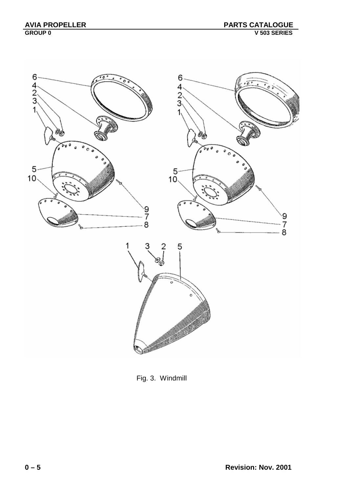

Fig. 3. Windmill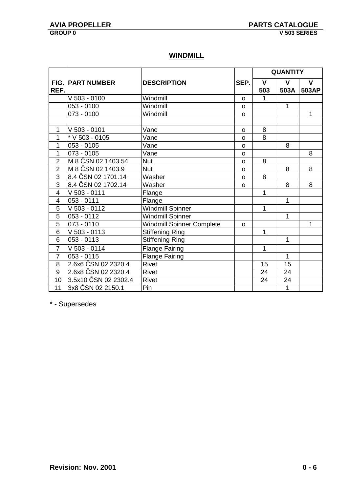### **WINDMILL**

|                |                         |                           |              | <b>QUANTITY</b> |              |              |
|----------------|-------------------------|---------------------------|--------------|-----------------|--------------|--------------|
|                | <b>FIG. PART NUMBER</b> | <b>DESCRIPTION</b>        | SEP.         | $\mathbf{V}$    | $\mathbf v$  | $\mathbf{V}$ |
| REF.           |                         |                           |              | 503             | 503A         | 503AP        |
|                | $V$ 503 - 0100          | Windmill                  | $\mathsf{o}$ | 1               |              |              |
|                | 053 - 0100              | Windmill                  | O            |                 | 1            |              |
|                | 073 - 0100              | Windmill                  | $\mathsf{o}$ |                 |              | $\mathbf{1}$ |
|                |                         |                           |              |                 |              |              |
| 1              | $V$ 503 - 0101          | Vane                      | O            | 8               |              |              |
| 1              | * V 503 - 0105          | Vane                      | $\Omega$     | 8               |              |              |
| 1              | $053 - 0105$            | Vane                      | O            |                 | 8            |              |
| $\overline{1}$ | 073 - 0105              | Vane                      | $\mathsf{o}$ |                 |              | 8            |
| $\overline{2}$ | M 8 ČSN 02 1403.54      | Nut                       | $\mathsf{o}$ | 8               |              |              |
| $\overline{2}$ | M 8 ČSN 02 1403.9       | <b>Nut</b>                | $\circ$      |                 | 8            | 8            |
| $\overline{3}$ | 8.4 ČSN 02 1701.14      | Washer                    | $\Omega$     | 8               |              |              |
| $\overline{3}$ | 8.4 ČSN 02 1702.14      | Washer                    | $\Omega$     |                 | 8            | 8            |
| 4              | V 503 - 0111            | Flange                    |              | 1               |              |              |
| $\overline{4}$ | 053 - 0111              | Flange                    |              |                 | 1            |              |
| 5              | $V$ 503 - 0112          | <b>Windmill Spinner</b>   |              | 1               |              |              |
| $\overline{5}$ | $053 - 0112$            | Windmill Spinner          |              |                 | $\mathbf{1}$ |              |
| 5              | 073 - 0110              | Windmill Spinner Complete | O            |                 |              | 1            |
| 6              | V 503 - 0113            | <b>Stiffening Ring</b>    |              | 1               |              |              |
| 6              | 053 - 0113              | <b>Stiffening Ring</b>    |              |                 | $\mathbf{1}$ |              |
| $\overline{7}$ | $V$ 503 - 0114          | <b>Flange Fairing</b>     |              | 1               |              |              |
| $\overline{7}$ | $053 - 0115$            | <b>Flange Fairing</b>     |              |                 | 1            |              |
| 8              | 2.6x6 ČSN 02 2320.4     | Rivet                     |              | 15              | 15           |              |
| 9              | 2.6x8 ČSN 02 2320.4     | <b>Rivet</b>              |              | 24              | 24           |              |
| 10             | 3.5x10 ČSN 02 2302.4    | Rivet                     |              | 24              | 24           |              |
| 11             | 3x8 ČSN 02 2150.1       | Pin                       |              |                 | $\mathbf{1}$ |              |

\* - Supersedes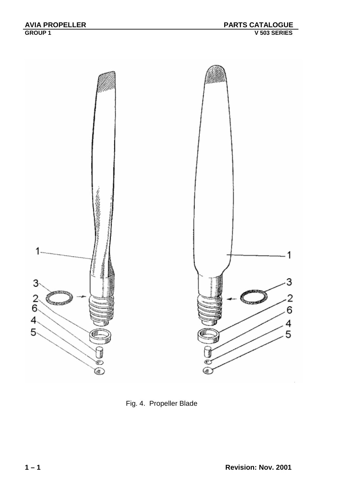

Fig. 4. Propeller Blade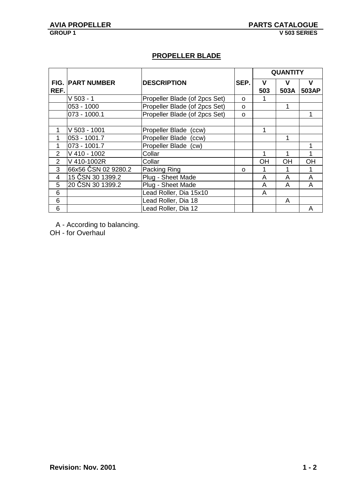### **PROPELLER BLADE**

|                |                     |                               |      |           | <b>QUANTITY</b> |           |
|----------------|---------------------|-------------------------------|------|-----------|-----------------|-----------|
| FIG.           | <b>PART NUMBER</b>  | <b>DESCRIPTION</b>            | SEP. | v         | v               | V         |
| REF.           |                     |                               |      | 503       | 503A            | 503AP     |
|                | $V$ 503 - 1         | Propeller Blade (of 2pcs Set) | O    |           |                 |           |
|                | 053 - 1000          | Propeller Blade (of 2pcs Set) | O    |           | 1               |           |
|                | 073 - 1000.1        | Propeller Blade (of 2pcs Set) | O    |           |                 |           |
|                |                     |                               |      |           |                 |           |
| 1              | V 503 - 1001        | Propeller Blade<br>(ccw)      |      |           |                 |           |
| 1              | 053 - 1001.7        | Propeller Blade<br>(ccw)      |      |           | 1               |           |
| 1              | 073 - 1001.7        | Propeller Blade (cw)          |      |           |                 |           |
| $\overline{2}$ | V 410 - 1002        | Collar                        |      |           | 1               |           |
| $\overline{2}$ | V 410-1002R         | Collar                        |      | <b>OH</b> | <b>OH</b>       | <b>OH</b> |
| 3              | 66x56 ČSN 02 9280.2 | Packing Ring                  | O    |           |                 |           |
| 4              | 15 ČSN 30 1399.2    | Plug - Sheet Made             |      | A         | A               | A         |
| 5              | 20 ČSN 30 1399.2    | Plug - Sheet Made             |      | A         | А               | A         |
| 6              |                     | Lead Roller, Dia 15x10        |      | A         |                 |           |
| 6              |                     | Lead Roller, Dia 18           |      |           | A               |           |
| 6              |                     | Lead Roller, Dia 12           |      |           |                 | Α         |

A - According to balancing.

OH - for Overhaul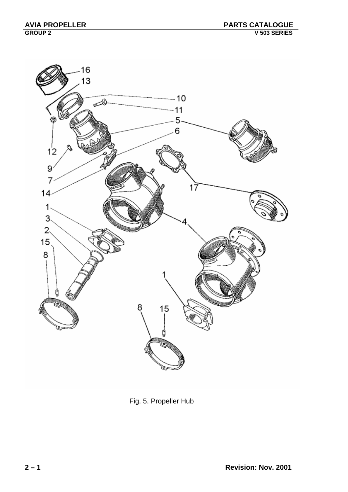

Fig. 5. Propeller Hub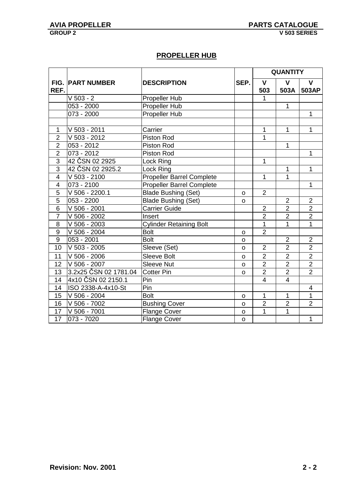### **PROPELLER HUB**

|                  |                          |                                  |              |                | <b>QUANTITY</b> |                |
|------------------|--------------------------|----------------------------------|--------------|----------------|-----------------|----------------|
|                  | <b>FIG. PART NUMBER</b>  | <b>DESCRIPTION</b>               | SEP.         | $\mathbf{V}$   | $\mathbf v$     | V              |
| REF.             |                          |                                  |              | 503            | 503A            | 503AP          |
|                  | $V$ 503 - 2              | Propeller Hub                    |              |                |                 |                |
|                  | 053 - 2000               | Propeller Hub                    |              |                | $\mathbf 1$     |                |
|                  | $073 - 2000$             | <b>Propeller Hub</b>             |              |                |                 | $\mathbf{1}$   |
|                  |                          |                                  |              |                |                 |                |
| 1                | V 503 - 2011             | Carrier                          |              | 1              | $\mathbf{1}$    | $\mathbf{1}$   |
| $\overline{2}$   | V 503 - 2012             | Piston Rod                       |              | 1              |                 |                |
| $\overline{2}$   | $\overline{0}$ 53 - 2012 | Piston Rod                       |              |                | $\mathbf{1}$    |                |
| $\overline{2}$   | 073 - 2012               | Piston Rod                       |              |                |                 | 1              |
| $\overline{3}$   | 42 ČSN 02 2925           | Lock Ring                        |              | 1              |                 |                |
| $\overline{3}$   | 42 ČSN 02 2925.2         | Lock Ring                        |              |                | 1               | 1              |
| $\overline{4}$   | $V$ 503 - 2100           | <b>Propeller Barrel Complete</b> |              | 1              | 1               |                |
| 4                | 073 - 2100               | <b>Propeller Barrel Complete</b> |              |                |                 | 1              |
| 5                | V 506 - 2200.1           | <b>Blade Bushing (Set)</b>       | o            | $\overline{2}$ |                 |                |
| $\overline{5}$   | 053 - 2200               | <b>Blade Bushing (Set)</b>       | O            |                | $\overline{2}$  | $\overline{2}$ |
| 6                | V 506 - 2001             | <b>Carrier Guide</b>             |              | $\overline{2}$ | $\overline{2}$  | $\overline{2}$ |
| $\overline{7}$   | V 506 - 2002             | Insert                           |              | $\overline{2}$ | $\overline{2}$  | $\overline{2}$ |
| 8                | V 506 - 2003             | <b>Cylinder Retaining Bolt</b>   |              | 1              | 1               | $\overline{1}$ |
| $\boldsymbol{9}$ | V 506 - 2004             | <b>Bolt</b>                      | o            | $\overline{2}$ |                 |                |
| 9                | 053 - 2001               | <b>Bolt</b>                      | $\mathbf{o}$ |                | $\overline{2}$  | $\overline{2}$ |
| 10               | V 503 - 2005             | Sleeve (Set)                     | o            | $\overline{2}$ | $\overline{2}$  | $\overline{2}$ |
| 11               | V 506 - 2006             | <b>Sleeve Bolt</b>               | O            | $\overline{2}$ | $\overline{2}$  | $\overline{2}$ |
| 12               | $V$ 506 - 2007           | Sleeve Nut                       | $\mathsf{o}$ | $\overline{2}$ | $\overline{2}$  | $\overline{2}$ |
| $\overline{13}$  | 3.2x25 ČSN 02 1781.04    | <b>Cotter Pin</b>                | $\mathsf{o}$ | $\overline{2}$ | $\overline{2}$  | $\overline{2}$ |
| 14               | 4x10 CSN 02 2150.1       | Pin                              |              | $\overline{4}$ | $\overline{4}$  |                |
| 14               | ISO 2338-A-4x10-St       | Pin                              |              |                |                 | 4              |
| 15               | V 506 - 2004             | <b>Bolt</b>                      | O            | 1              | $\mathbf{1}$    | $\mathbf 1$    |
| 16               | V 506 - 7002             | <b>Bushing Cover</b>             | O            | $\mathbf{2}$   | $\overline{2}$  | $\overline{2}$ |
| 17               | V 506 - 7001             | <b>Flange Cover</b>              | $\mathsf{o}$ | $\overline{1}$ | $\overline{1}$  |                |
| $\overline{17}$  | 073 - 7020               | <b>Flange Cover</b>              | $\circ$      |                |                 | $\mathbf{1}$   |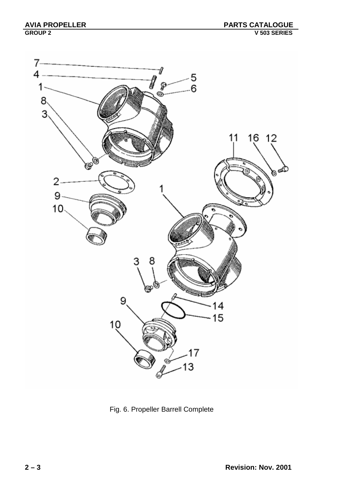

Fig. 6. Propeller Barrell Complete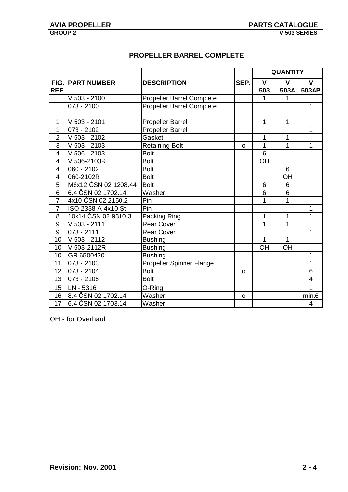### **PROPELLER BARREL COMPLETE**

|                |                         |                                  |          |              | <b>QUANTITY</b> |                |
|----------------|-------------------------|----------------------------------|----------|--------------|-----------------|----------------|
|                | <b>FIG. PART NUMBER</b> | <b>DESCRIPTION</b>               | SEP.     | $\mathbf{V}$ | $\mathbf{V}$    | $\mathbf v$    |
| REF.           |                         |                                  |          | 503          | 503A            | 503AP          |
|                | $V$ 503 - 2100          | <b>Propeller Barrel Complete</b> |          | 1            | 1               |                |
|                | $073 - 2100$            | <b>Propeller Barrel Complete</b> |          |              |                 | 1              |
|                |                         |                                  |          |              |                 |                |
| $\mathbf{1}$   | V 503 - 2101            | <b>Propeller Barrel</b>          |          | 1            | 1               |                |
| 1              | 073 - 2102              | Propeller Barrel                 |          |              |                 | 1              |
| $\overline{2}$ | $V$ 503 - 2102          | Gasket                           |          | 1            | 1               |                |
| 3              | $V$ 503 - 2103          | <b>Retaining Bolt</b>            | O        | 1            | 1               | 1              |
| $\overline{4}$ | $V$ 506 - 2103          | <b>Bolt</b>                      |          | 6            |                 |                |
| $\overline{4}$ | V 506-2103R             | <b>Bolt</b>                      |          | OH           |                 |                |
| $\overline{4}$ | $060 - 2102$            | <b>Bolt</b>                      |          |              | 6               |                |
| $\overline{4}$ | 060-2102R               | <b>Bolt</b>                      |          |              | OH              |                |
| $\overline{5}$ | M6x12 ČSN 02 1208.44    | <b>Bolt</b>                      |          | 6            | $6\phantom{1}6$ |                |
| 6              | 6.4 ČSN 02 1702.14      | Washer                           |          | 6            | 6               |                |
| $\overline{7}$ | 4x10 ČSN 02 2150.2      | Pin                              |          | 1            | 1               |                |
| $\overline{7}$ | ISO 2338-A-4x10-St      | Pin                              |          |              |                 | 1              |
| 8              | 10x14 ČSN 02 9310.3     | Packing Ring                     |          | 1            | 1               | 1              |
| 9              | $V$ 503 - 2111          | <b>Rear Cover</b>                |          | 1            | $\overline{1}$  |                |
| 9              | $073 - 2111$            | <b>Rear Cover</b>                |          |              |                 | 1              |
| 10             | $V$ 503 - 2112          | <b>Bushing</b>                   |          | 1            | $\mathbf{1}$    |                |
| 10             | V 503-2112R             | <b>Bushing</b>                   |          | OH           | OH              |                |
| 10             | GR 6500420              | <b>Bushing</b>                   |          |              |                 | 1              |
| 11             | 073 - 2103              | Propeller Spinner Flange         |          |              |                 | 1              |
| 12             | 073 - 2104              | <b>Bolt</b>                      | $\Omega$ |              |                 | 6              |
| 13             | 073 - 2105              | <b>Bolt</b>                      |          |              |                 | $\overline{4}$ |
| 15             | LN - 5316               | O-Ring                           |          |              |                 | 1              |
| 16             | 8.4 ČSN 02 1702.14      | Washer                           | $\circ$  |              |                 | min.6          |
| 17             | 6.4 ČSN 02 1703.14      | Washer                           |          |              |                 | $\overline{4}$ |

OH - for Overhaul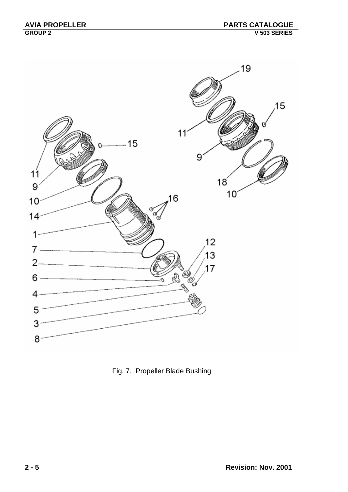

Fig. 7. Propeller Blade Bushing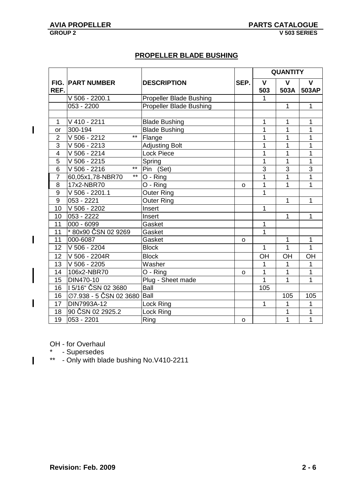$\overline{\phantom{a}}$ 

 $\overline{\phantom{a}}$ 

 $\overline{\phantom{a}}$ 

 $\overline{1}$ 

### **PROPELLER BLADE BUSHING**

|                |                                  |                                |              |                | <b>QUANTITY</b> |                |
|----------------|----------------------------------|--------------------------------|--------------|----------------|-----------------|----------------|
|                | <b>FIG. PART NUMBER</b>          | <b>DESCRIPTION</b>             | SEP.         | $\mathsf{V}$   | $\mathbf v$     | $\mathbf v$    |
| REF.           |                                  |                                |              | 503            | 503A            | 503AP          |
|                | V 506 - 2200.1                   | <b>Propeller Blade Bushing</b> |              | 1              |                 |                |
|                | 053 - 2200                       | <b>Propeller Blade Bushing</b> |              |                | 1               | 1              |
|                |                                  |                                |              |                |                 |                |
| $\mathbf{1}$   | V 410 - 2211                     | <b>Blade Bushing</b>           |              | 1              | 1               | 1              |
| <b>or</b>      | 300-194                          | <b>Blade Bushing</b>           |              | 1              | 1               | 1              |
| $\overline{2}$ | $***$<br>V 506 - 2212            | Flange                         |              | 1              | 1               | 1              |
| 3              | V 506 - 2213                     | <b>Adjusting Bolt</b>          |              | 1              | 1               | 1              |
| $\overline{4}$ | V 506 - 2214                     | <b>Lock Piece</b>              |              | 1              | 1               | 1              |
| 5              | V 506 - 2215                     | Spring                         |              | 1              | $\overline{1}$  | $\overline{1}$ |
| 6              | $***$<br>V 506 - 2216            | Pin (Set)                      |              | $\overline{3}$ | 3               | $\overline{3}$ |
| $\overline{7}$ | $\star\star$<br>60,05x1,78-NBR70 | O - Ring                       |              | 1              | 1               | 1              |
| 8              | 17x2-NBR70                       | O - Ring                       | o            | 1              | $\overline{1}$  | 1              |
| 9              | V 506 - 2201.1                   | <b>Outer Ring</b>              |              | 1              |                 |                |
| 9              | 053 - 2221                       | <b>Outer Ring</b>              |              |                | 1               | 1              |
| 10             | V 506 - 2202                     | Insert                         |              | 1              |                 |                |
| 10             | 053 - 2222                       | Insert                         |              |                | 1               | 1              |
| 11             | 000 - 6099                       | Gasket                         |              | 1              |                 |                |
| 11             | * 80x90 ČSN 02 9269              | Gasket                         |              | 1              |                 |                |
| 11             | 000-6087                         | Gasket                         | 0            |                | 1               | 1              |
| 12             | V 506 - 2204                     | <b>Block</b>                   |              | 1              | 1               | $\overline{1}$ |
| 12             | V 506 - 2204R                    | <b>Block</b>                   |              | OH             | OH              | OH             |
| 13             | V 506 - 2205                     | Washer                         |              | 1              | 1               | 1              |
| 14             | 106x2-NBR70                      | O - Ring                       | o            | 1              | 1               | 1              |
| 15             | DIN470-10                        | Plug - Sheet made              |              | 1              | $\overline{1}$  | 1              |
| 16             | I 5/16" ČSN 02 3680              | Ball                           |              | 105            |                 |                |
| 16             | Ø7.938 - 5 ČSN 02 3680           | Ball                           |              |                | 105             | 105            |
| 17             | DIN7993A-12                      | Lock Ring                      |              | 1              | 1               | 1              |
| 18             | 90 ČSN 02 2925.2                 | Lock Ring                      |              |                | 1               | 1              |
| 19             | 053 - 2201                       | Ring                           | $\mathsf{o}$ |                | 1               | $\mathbf{1}$   |

OH - for Overhaul

\* - Supersedes

\*\* - Only with blade bushing No.V410-2211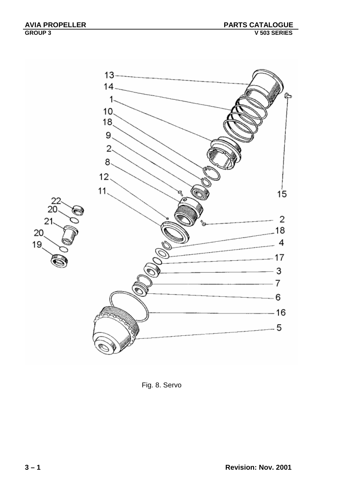

Fig. 8. Servo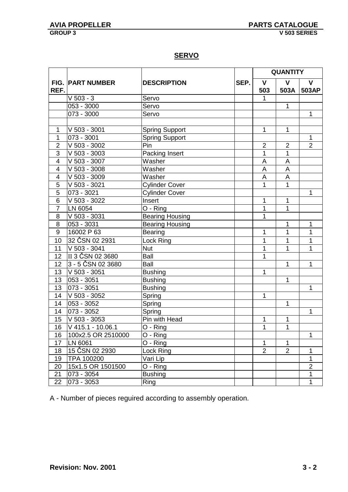**SERVO**

|                |                         |                        |      |                     | <b>QUANTITY</b>      |                       |
|----------------|-------------------------|------------------------|------|---------------------|----------------------|-----------------------|
| REF.           | <b>FIG. PART NUMBER</b> | <b>DESCRIPTION</b>     | SEP. | $\mathbf{V}$<br>503 | $\mathbf{V}$<br>503A | $\mathbf{V}$<br>503AP |
|                | $V$ 503 - 3             | Servo                  |      | $\mathbf{1}$        |                      |                       |
|                | 053 - 3000              | Servo                  |      |                     | $\mathbf{1}$         |                       |
|                | 073 - 3000              | Servo                  |      |                     |                      | $\mathbf{1}$          |
|                |                         |                        |      |                     |                      |                       |
| 1              | V 503 - 3001            | <b>Spring Support</b>  |      | 1                   | 1                    |                       |
| 1              | 073 - 3001              | <b>Spring Support</b>  |      |                     |                      | 1                     |
| $\overline{2}$ | V 503 - 3002            | Pin                    |      | $\overline{2}$      | $\overline{2}$       | $\overline{2}$        |
| 3              | V 503 - 3003            | Packing Insert         |      | 1                   | 1                    |                       |
| $\overline{4}$ | $V$ 503 - 3007          | Washer                 |      | A                   | A                    |                       |
| 4              | $\sqrt{6}$ 503 - 3008   | Washer                 |      | A                   | A                    |                       |
| $\overline{4}$ | $\sqrt{503 - 3009}$     | Washer                 |      | A                   | A                    |                       |
| 5              | V 503 - 3021            | <b>Cylinder Cover</b>  |      | 1                   | 1                    |                       |
| $\overline{5}$ | 073 - 3021              | <b>Cylinder Cover</b>  |      |                     |                      | $\mathbf{1}$          |
| $\overline{6}$ | V 503 - 3022            | Insert                 |      | 1                   | 1                    |                       |
| $\overline{7}$ | LN 6054                 | O - Ring               |      | 1                   | 1                    |                       |
| 8              | $V$ 503 - 3031          | <b>Bearing Housing</b> |      | 1                   |                      |                       |
| $\overline{8}$ | 053 - 3031              | <b>Bearing Housing</b> |      |                     | 1                    | 1                     |
| $\overline{9}$ | 16002 P 63              | <b>Bearing</b>         |      | 1                   | $\overline{1}$       | 1                     |
| 10             | 32 ČSN 02 2931          | Lock Ring              |      | 1                   | 1                    | 1                     |
| 11             | V 503 - 3041            | <b>Nut</b>             |      | 1                   | 1                    | 1                     |
| 12             | II 3 ČSN 02 3680        | Ball                   |      | 1                   |                      |                       |
| 12             | 3 - 5 ČSN 02 3680       | Ball                   |      |                     | 1                    | 1                     |
| 13             | V 503 - 3051            | <b>Bushing</b>         |      | 1                   |                      |                       |
| 13             | 053 - 3051              | <b>Bushing</b>         |      |                     | 1                    |                       |
| 13             | 073 - 3051              | <b>Bushing</b>         |      |                     |                      | 1                     |
| 14             | V 503 - 3052            | Spring                 |      | 1                   |                      |                       |
| 14             | 053 - 3052              | Spring                 |      |                     | 1                    |                       |
| 14             | $\overline{073 - 3052}$ | Spring                 |      |                     |                      | $\mathbf{1}$          |
| 15             | V 503 - 3053            | Pin with Head          |      | 1                   | 1                    |                       |
| 16             | V 415.1 - 10.06.1       | $O - Ring$             |      | 1                   | 1                    |                       |
| 16             | 100x2.5 OR 2510000      | $O - Ring$             |      |                     |                      | 1                     |
| 17             | LN 6061                 | $O - Ring$             |      | 1                   | 1                    |                       |
| 18             | 15 ČSN 02 2930          | Lock Ring              |      | $\overline{2}$      | $\overline{2}$       | 1                     |
| 19             | TPA 100200              | Vari Lip               |      |                     |                      | 1                     |
| 20             | 15x1.5 OR 1501500       | $O - Ring$             |      |                     |                      | $\overline{2}$        |
| 21             | 073 - 3054              | <b>Bushing</b>         |      |                     |                      | 1                     |
| 22             | 073 - 3053              | Ring                   |      |                     |                      | 1                     |

A - Number of pieces reguired according to assembly operation.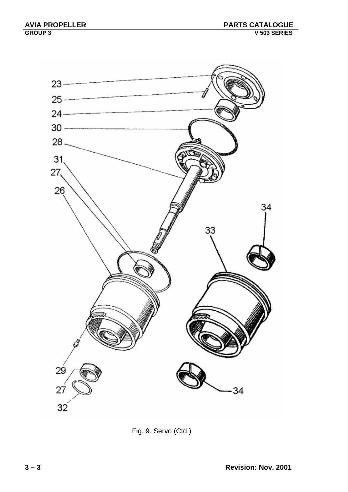

Fig. 9. Servo (Ctd.)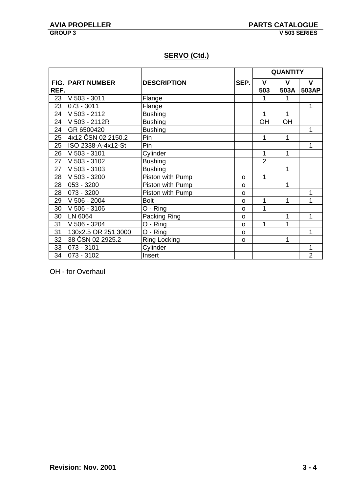### **SERVO (Ctd.)**

|      |                         |                       |          |                | <b>QUANTITY</b> |                |
|------|-------------------------|-----------------------|----------|----------------|-----------------|----------------|
|      | <b>FIG. PART NUMBER</b> | <b>DESCRIPTION</b>    | SEP.     | $\mathbf{V}$   | V               | $\mathbf v$    |
| REF. |                         |                       |          | 503            | 503A            | 503AP          |
| 23   | V 503 - 3011            | Flange                |          |                | 1               |                |
| 23   | 073 - 3011              | Flange                |          |                |                 | $\mathbf 1$    |
| 24   | V 503 - 2112            | <b>Bushing</b>        |          |                | 1               |                |
| 24   | V 503 - 2112R           | <b>Bushing</b>        |          | OH             | OH              |                |
| 24   | GR 6500420              | <b>Bushing</b>        |          |                |                 | 1              |
| 25   | 4x12 ČSN 02 2150.2      | Pin                   |          | 1              | 1               |                |
| 25   | ISO 2338-A-4x12-St      | Pin                   |          |                |                 | 1              |
| 26   | V 503 - 3101            | Cylinder              |          |                | 1               |                |
| 27   | V 503 - 3102            | <b>Bushing</b>        |          | $\overline{2}$ |                 |                |
| 27   | V 503 - 3103            | <b>Bushing</b>        |          |                | 1               |                |
| 28   | V 503 - 3200            | Piston with Pump      | O        | 1              |                 |                |
| 28   | 053 - 3200              | Piston with Pump      | $\Omega$ |                | 1               |                |
| 28   | 073 - 3200              | Piston with Pump      | O        |                |                 | 1              |
| 29   | $V$ 506 - 2004          | <b>Bolt</b>           | O        | 1              | 1               | 1              |
| 30   | V 506 - 3106            | O - Ring              | O        | 1              |                 |                |
| 30   | LN 6064                 | Packing Ring          | O        |                | 1               | 1              |
| 31   | V 506 - 3204            | $\overline{O}$ - Ring | O        | 1              | 1               |                |
| 31   | 130x2.5 OR 251 3000     | $\overline{O}$ - Ring | O        |                |                 | 1              |
| 32   | 38 ČSN 02 2925.2        | <b>Ring Locking</b>   | O        |                | 1               |                |
| 33   | 073 - 3101              | Cylinder              |          |                |                 | 1              |
| 34   | 073 - 3102              | Insert                |          |                |                 | $\overline{2}$ |

OH - for Overhaul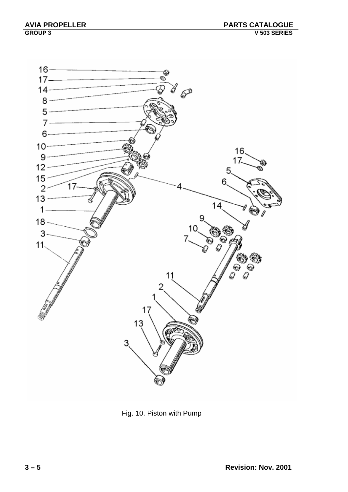

Fig. 10. Piston with Pump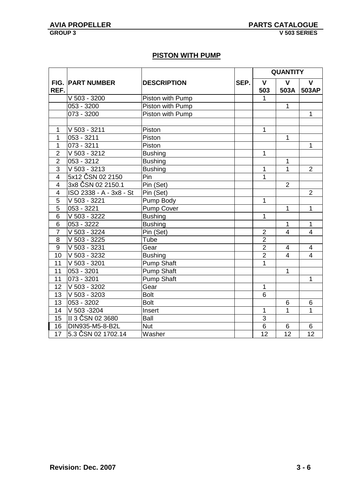### **PISTON WITH PUMP**

|                         |                          |                    |      |                | <b>QUANTITY</b> |                         |
|-------------------------|--------------------------|--------------------|------|----------------|-----------------|-------------------------|
|                         | <b>FIG. PART NUMBER</b>  | <b>DESCRIPTION</b> | SEP. | $\mathsf{V}$   | $\mathbf{V}$    | $\mathbf{V}$            |
| REF.                    |                          |                    |      | 503            | 503A            | 503AP                   |
|                         | V 503 - 3200             | Piston with Pump   |      | 1              |                 |                         |
|                         | 053 - 3200               | Piston with Pump   |      |                | $\mathbf{1}$    |                         |
|                         | 073 - 3200               | Piston with Pump   |      |                |                 | $\mathbf{1}$            |
|                         |                          |                    |      |                |                 |                         |
| 1                       | V 503 - 3211             | Piston             |      | 1              |                 |                         |
| 1                       | 053 - 3211               | Piston             |      |                | $\mathbf{1}$    |                         |
| $\mathbf{1}$            | 073 - 3211               | Piston             |      |                |                 | $\mathbf{1}$            |
| $\overline{2}$          | $\sqrt{503 - 3212}$      | <b>Bushing</b>     |      | 1              |                 |                         |
| $\overline{2}$          | 053 - 3212               | <b>Bushing</b>     |      |                | $\mathbf{1}$    |                         |
| $\overline{3}$          | $V$ 503 - 3213           | <b>Bushing</b>     |      | 1              | $\overline{1}$  | $\overline{2}$          |
| $\overline{\mathbf{4}}$ | 5x12 ČSN 02 2150         | Pin                |      | 1              |                 |                         |
| $\overline{4}$          | 3x8 ČSN 02 2150.1        | Pin (Set)          |      |                | $\overline{2}$  |                         |
| $\overline{\mathbf{4}}$ | ISO 2338 - A - 3x8 - St  | Pin (Set)          |      |                |                 | $\overline{2}$          |
| 5                       | V 503 - 3221             | Pump Body          |      | 1              |                 |                         |
| $\overline{5}$          | 053 - 3221               | <b>Pump Cover</b>  |      |                | $\mathbf 1$     | $\overline{1}$          |
| $\overline{6}$          | V 503 - 3222             | <b>Bushing</b>     |      | 1              |                 |                         |
| $\overline{6}$          | $\overline{0}$ 53 - 3222 | <b>Bushing</b>     |      |                | $\mathbf{1}$    | $\mathbf{1}$            |
| $\overline{7}$          | $\sqrt{503 - 3224}$      | Pin (Set)          |      | $\overline{2}$ | $\overline{4}$  | $\overline{4}$          |
| 8                       | $\sqrt{6}$ 503 - 3225    | Tube               |      | $\overline{2}$ |                 |                         |
| $9\,$                   | V 503 - 3231             | Gear               |      | $\overline{2}$ | $\overline{4}$  | $\overline{\mathbf{4}}$ |
| 10                      | V 503 - 3232             | <b>Bushing</b>     |      | $\overline{2}$ | $\overline{4}$  | $\overline{4}$          |
| 11                      | $V$ 503 - 3201           | <b>Pump Shaft</b>  |      | $\mathbf{1}$   |                 |                         |
| 11                      | 053 - 3201               | <b>Pump Shaft</b>  |      |                | $\mathbf 1$     |                         |
| 11                      | 073 - 3201               | <b>Pump Shaft</b>  |      |                |                 | $\mathbf{1}$            |
| 12                      | $V$ 503 - 3202           | Gear               |      | $\mathbf{1}$   |                 |                         |
| 13                      | V 503 - 3203             | <b>Bolt</b>        |      | 6              |                 |                         |
| 13                      | 053 - 3202               | <b>Bolt</b>        |      |                | $6\phantom{1}6$ | 6                       |
| 14                      | V 503 - 3204             | Insert             |      | 1              | 1               | 1                       |
| 15 <sub>15</sub>        | II 3 ČSN 02 3680         | Ball               |      | $\overline{3}$ |                 |                         |
| 16                      | DIN935-M5-8-B2L          | <b>Nut</b>         |      | 6              | 6               | 6                       |
| 17                      | 5.3 ČSN 02 1702.14       | Washer             |      | 12             | 12              | 12                      |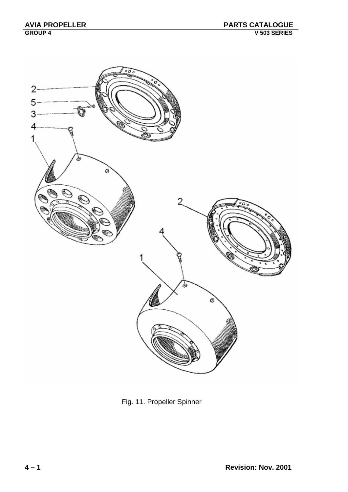

Fig. 11. Propeller Spinner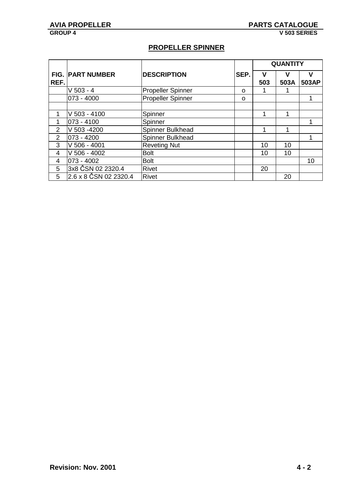### **PROPELLER SPINNER**

|                |                         |                          |      | <b>QUANTITY</b> |      |       |
|----------------|-------------------------|--------------------------|------|-----------------|------|-------|
|                | <b>FIG. PART NUMBER</b> | <b>DESCRIPTION</b>       | SEP. | ν               | v    | v     |
| REF.           |                         |                          |      | 503             | 503A | 503AP |
|                | $V$ 503 - 4             | <b>Propeller Spinner</b> | O    |                 |      |       |
|                | $ 073 - 4000 $          | <b>Propeller Spinner</b> | O    |                 |      |       |
|                |                         |                          |      |                 |      |       |
| 1              | $V$ 503 - 4100          | Spinner                  |      |                 |      |       |
| 1              | 073 - 4100              | Spinner                  |      |                 |      |       |
| 2              | V 503 -4200             | Spinner Bulkhead         |      |                 |      |       |
| $\overline{2}$ | 073 - 4200              | Spinner Bulkhead         |      |                 |      |       |
| 3              | $V$ 506 - 4001          | <b>Reveting Nut</b>      |      | 10              | 10   |       |
| 4              | $V$ 506 - 4002          | <b>Bolt</b>              |      | 10              | 10   |       |
| 4              | 073 - 4002              | <b>Bolt</b>              |      |                 |      | 10    |
| 5              | 3x8 ČSN 02 2320.4       | Rivet                    |      | 20              |      |       |
| 5              | 2.6 x 8 ČSN 02 2320.4   | <b>Rivet</b>             |      |                 | 20   |       |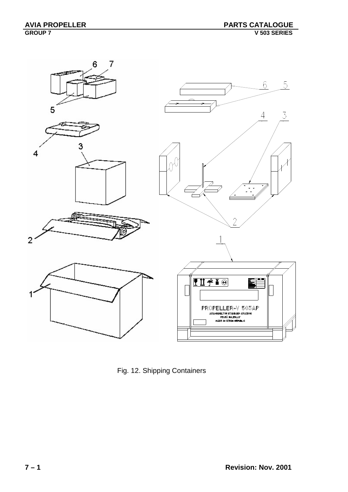

Fig. 12. Shipping Containers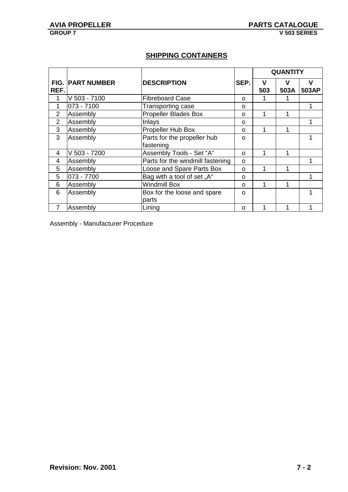### **SHIPPING CONTAINERS**

|                |                         |                                          |          | <b>QUANTITY</b> |           |            |
|----------------|-------------------------|------------------------------------------|----------|-----------------|-----------|------------|
| REF.           | <b>FIG. PART NUMBER</b> | <b>DESCRIPTION</b>                       | SEP.     | v<br>503        | v<br>503A | v<br>503AP |
| 1              | V 503 - 7100            | <b>Fibreboard Case</b>                   | O        |                 |           |            |
| 1              | 073 - 7100              | Transporting case                        | O        |                 |           |            |
| $\overline{2}$ | Assembly                | <b>Propeller Blades Box</b>              | O        |                 | 1         |            |
| $\overline{2}$ | Assembly                | Inlays                                   | O        |                 |           |            |
| 3              | Assembly                | Propeller Hub Box                        | O        |                 | 1         |            |
| 3              | Assembly                | Parts for the propeller hub<br>fastening | O        |                 |           |            |
| 4              | V 503 - 7200            | Assembly Tools - Set "A"                 | $\Omega$ |                 | 1         |            |
| 4              | Assembly                | Parts for the windmill fastening         | O        |                 |           |            |
| 5              | Assembly                | Loose and Spare Parts Box                | $\Omega$ |                 | 1         |            |
| 5              | 073 - 7700              | Bag with a tool of set "A"               | O        |                 |           |            |
| 6              | Assembly                | <b>Windmill Box</b>                      | $\Omega$ |                 |           |            |
| 6              | Assembly                | Box for the loose and spare<br>parts     | O        |                 |           |            |
| $\overline{7}$ | Assembly                | Lining                                   | O        |                 |           |            |

Assembly - Manufacturer Procedure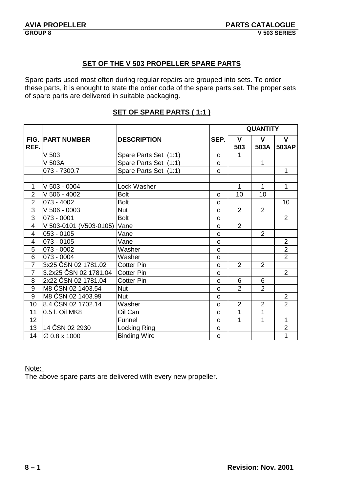#### **SET OF THE V 503 PROPELLER SPARE PARTS**

Spare parts used most often during regular repairs are grouped into sets. To order these parts, it is enought to state the order code of the spare parts set. The proper sets of spare parts are delivered in suitable packaging.

|                         |                          |                       |              | <b>QUANTITY</b> |                |                |  |
|-------------------------|--------------------------|-----------------------|--------------|-----------------|----------------|----------------|--|
|                         | <b>FIG. PART NUMBER</b>  | <b>DESCRIPTION</b>    | SEP.         | $\mathbf{V}$    | V              | $\mathbf{V}$   |  |
| REF.                    |                          |                       |              | 503             | 503A           | 503AP          |  |
|                         | V <sub>503</sub>         | Spare Parts Set (1:1) | $\Omega$     | 1               |                |                |  |
|                         | V 503A                   | Spare Parts Set (1:1) | $\Omega$     |                 | $\mathbf{1}$   |                |  |
|                         | 073 - 7300.7             | Spare Parts Set (1:1) | O            |                 |                | $\mathbf{1}$   |  |
|                         |                          |                       |              |                 |                |                |  |
| 1                       | $V$ 503 - 0004           | Lock Washer           |              | $\mathbf 1$     | $\mathbf{1}$   | $\mathbf{1}$   |  |
| $\overline{2}$          | $V$ 506 - 4002           | Bolt                  | $\Omega$     | 10              | 10             |                |  |
| $\overline{2}$          | 073 - 4002               | <b>Bolt</b>           | $\Omega$     |                 |                | 10             |  |
| $\overline{3}$          | $V$ 506 - 0003           | <b>Nut</b>            | $\mathsf{o}$ | 2               | 2              |                |  |
| $\overline{3}$          | 073 - 0001               | <b>Bolt</b>           | $\Omega$     |                 |                | $\overline{2}$ |  |
| $\overline{\mathbf{4}}$ | V 503-0101 (V503-0105)   | Vane                  | $\Omega$     | $\overline{2}$  |                |                |  |
| $\overline{4}$          | $053 - 0105$             | Vane                  | $\Omega$     |                 | $\overline{2}$ |                |  |
| 4                       | 073 - 0105               | Vane                  | $\Omega$     |                 |                | $\overline{2}$ |  |
| $\overline{5}$          | 073 - 0002               | Washer                | $\Omega$     |                 |                | $\overline{2}$ |  |
| $\overline{6}$          | 073 - 0004               | Washer                | $\mathsf{o}$ |                 |                | $\overline{2}$ |  |
| $\overline{7}$          | 3x25 CSN 02 1781.02      | <b>Cotter Pin</b>     | $\mathsf{o}$ | 2               | $\overline{2}$ |                |  |
| $\overline{7}$          | 3.2x25 ČSN 02 1781.04    | <b>Cotter Pin</b>     | $\Omega$     |                 |                | $\overline{2}$ |  |
| 8                       | 2x22 ČSN 02 1781.04      | <b>Cotter Pin</b>     | O            | 6               | 6              |                |  |
| 9                       | M8 ČSN 02 1403.54        | <b>Nut</b>            | $\mathsf{o}$ | $\overline{2}$  | $\overline{2}$ |                |  |
| $\overline{9}$          | M8 ČSN 02 1403.99        | <b>Nut</b>            | $\Omega$     |                 |                | $\overline{2}$ |  |
| 10                      | 8.4 ČSN 02 1702.14       | Washer                | $\Omega$     | $\overline{2}$  | $\overline{2}$ | $\overline{2}$ |  |
| 11                      | 0.5 I. Oil MK8           | Oil Can               | $\Omega$     | 1               | $\overline{1}$ |                |  |
| 12                      |                          | Funnel                | $\Omega$     | 1               | 1              | $\mathbf{1}$   |  |
| 13                      | 14 ČSN 02 2930           | Locking Ring          | O            |                 |                | $\overline{2}$ |  |
| 14                      | $\varnothing$ 0.8 x 1000 | <b>Binding Wire</b>   | $\mathsf{o}$ |                 |                | 1              |  |

#### **SET OF SPARE PARTS ( 1:1 )**

#### Note:

The above spare parts are delivered with every new propeller.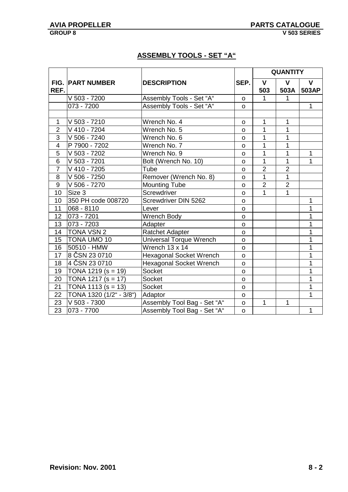### **ASSEMBLY TOOLS - SET "A"**

|                         |                         |                                 |              | <b>QUANTITY</b> |                |              |  |
|-------------------------|-------------------------|---------------------------------|--------------|-----------------|----------------|--------------|--|
| <b>FIG. PART NUMBER</b> |                         | <b>DESCRIPTION</b>              | SEP.         | $\mathbf{V}$    | $\mathbf{V}$   | $\mathbf{V}$ |  |
| REF.                    |                         |                                 |              | 503             | 503A           | 503AP        |  |
|                         | V 503 - 7200            | Assembly Tools - Set "A"        | $\mathsf{o}$ | $\mathbf 1$     | 1              |              |  |
|                         | 073 - 7200              | <b>Assembly Tools - Set "A"</b> | $\Omega$     |                 |                | $\mathbf{1}$ |  |
|                         |                         |                                 |              |                 |                |              |  |
| $\mathbf{1}$            | V 503 - 7210            | Wrench No. 4                    | $\mathsf{o}$ | $\mathbf{1}$    | 1              |              |  |
| $\overline{2}$          | $\sqrt{410 - 7204}$     | Wrench No. 5                    | $\Omega$     | 1               | 1              |              |  |
| 3                       | V 506 - 7240            | Wrench No. 6                    | $\mathbf{o}$ | 1               | 1              |              |  |
| $\overline{4}$          | P 7900 - 7202           | Wrench No. 7                    | $\mathsf{o}$ | 1               | $\overline{1}$ |              |  |
| $\overline{5}$          | V 503 - 7202            | Wrench No. 9                    | o            | 1               | 1              | $\mathbf{1}$ |  |
| 6                       | V 503 - 7201            | Bolt (Wrench No. 10)            | $\Omega$     | 1               | 1              | 1            |  |
| $\overline{7}$          | $\sqrt{410} - 7205$     | Tube                            | $\mathsf{o}$ | $\overline{2}$  | $\overline{2}$ |              |  |
| 8                       | V 506 - 7250            | Remover (Wrench No. 8)          | $\mathsf{o}$ | $\mathbf{1}$    | 1              |              |  |
| 9                       | V 506 - 7270            | <b>Mounting Tube</b>            | $\Omega$     | $\overline{2}$  | $\overline{2}$ |              |  |
| 10                      | Size 3                  | Screwdriver                     | $\mathsf{o}$ | 1               | 1              |              |  |
| 10                      | 350 PH code 008720      | Screwdriver DIN 5262            | $\mathsf{o}$ |                 |                | 1            |  |
| 11                      | 068 - 8110              | Lever                           | $\Omega$     |                 |                | 1            |  |
| 12                      | 073 - 7201              | Wrench Body                     | $\Omega$     |                 |                | 1            |  |
| 13                      | $ 073 - 7203$           | Adapter                         | $\mathsf{o}$ |                 |                | 1            |  |
| 14                      | <b>TONA VSN 2</b>       | <b>Ratchet Adapter</b>          | $\circ$      |                 |                | 1            |  |
| 15                      | <b>TONA UMO 10</b>      | Universal Torque Wrench         | $\Omega$     |                 |                | 1            |  |
| 16                      | 50510 - HMW             | Wrench 13 x 14                  | $\mathsf{o}$ |                 |                | 1            |  |
| 17                      | 8 ČSN 23 0710           | Hexagonal Socket Wrench         | O            |                 |                | 1            |  |
| 18                      | 4 ČSN 23 0710           | <b>Hexagonal Socket Wrench</b>  | $\mathsf{o}$ |                 |                | 1            |  |
| 19                      | TONA 1219 ( $s = 19$ )  | Socket                          | $\Omega$     |                 |                | 1            |  |
| 20                      | TONA 1217 ( $s = 17$ )  | Socket                          | $\mathsf{o}$ |                 |                | 1            |  |
| 21                      | TONA 1113 ( $s = 13$ )  | Socket                          | $\mathsf{o}$ |                 |                | 1            |  |
| 22                      | TONA 1320 (1/2" - 3/8") | Adaptor                         | O            |                 |                | 1            |  |
| 23                      | V 503 - 7300            | Assembly Tool Bag - Set "A"     | $\mathsf{o}$ | $\mathbf{1}$    | 1              |              |  |
| $\overline{23}$         | 073 - 7700              | Assembly Tool Bag - Set "A"     | $\mathsf{o}$ |                 |                | $\mathbf{1}$ |  |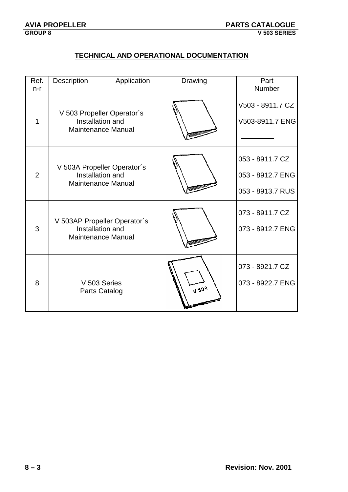### **TECHNICAL AND OPERATIONAL DOCUMENTATION**

| Ref.           | Description<br>Application                                                    | Drawing       | Part<br>Number                                          |
|----------------|-------------------------------------------------------------------------------|---------------|---------------------------------------------------------|
| n-r<br>1       | V 503 Propeller Operator's<br>Installation and<br><b>Maintenance Manual</b>   |               | V503 - 8911.7 CZ<br>V503-8911.7 ENG                     |
| $\overline{2}$ | V 503A Propeller Operator's<br>Installation and<br><b>Maintenance Manual</b>  |               | 053 - 8911.7 CZ<br>053 - 8912.7 ENG<br>053 - 8913.7 RUS |
| 3              | V 503AP Propeller Operator's<br>Installation and<br><b>Maintenance Manual</b> |               | 073 - 8911.7 CZ<br>073 - 8912.7 ENG                     |
| 8              | V 503 Series<br><b>Parts Catalog</b>                                          | $\sqrt{50^3}$ | 073 - 8921.7 CZ<br>073 - 8922.7 ENG                     |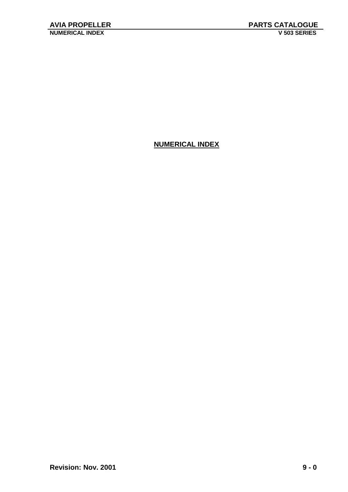### **NUMERICAL INDEX**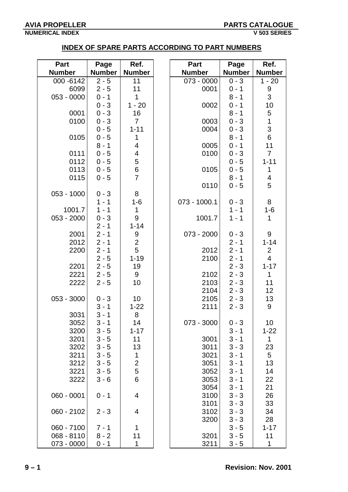#### **NUMERICAL INDEX V 503 SERIES**

### **INDEX OF SPARE PARTS ACCORDING TO PART NUMBERS**

| <b>Part</b>   | Page          | Ref.                    | Part          | Page          | Ref.           |
|---------------|---------------|-------------------------|---------------|---------------|----------------|
| <b>Number</b> | <b>Number</b> | <b>Number</b>           | <b>Number</b> | <b>Number</b> | <b>Number</b>  |
| 000 - 6142    | $2 - 5$       | 11                      | 073 - 0000    | $0 - 3$       | $1 - 20$       |
| 6099          | $2 - 5$       | 11                      | 0001          | $0 - 1$       | 9              |
| 053 - 0000    | $0 - 1$       | 1                       |               | $8 - 1$       | 3              |
|               | $0 - 3$       | $1 - 20$                | 0002          | $0 - 1$       | 10             |
| 0001          | $0 - 3$       | 16                      |               | $8 - 1$       | 5              |
| 0100          | $0 - 3$       | $\overline{7}$          | 0003          | $0 - 3$       | $\mathbf 1$    |
|               | $0 - 5$       | $1 - 11$                | 0004          | $0 - 3$       | $\frac{3}{6}$  |
| 0105          | $0 - 5$       | 1                       |               | $8 - 1$       |                |
|               | $8 - 1$       | 4                       | 0005          | $0 - 1$       | 11             |
| 0111          | $0 - 5$       | $\overline{\mathbf{4}}$ | 0100          | $0 - 3$       | $\overline{7}$ |
| 0112          | $0 - 5$       | 5                       |               | $0 - 5$       | $1 - 11$       |
| 0113          | $0 - 5$       | 6                       | 0105          | $0 - 5$       | $\mathbf 1$    |
| 0115          | $0 - 5$       | $\overline{7}$          |               | $8 - 1$       | 4              |
|               |               |                         | 0110          | $0 - 5$       | 5              |
| 053 - 1000    | $0 - 3$       | 8                       |               |               |                |
|               | $1 - 1$       | $1 - 6$                 | 073 - 1000.1  | $0 - 3$       | 8              |
| 1001.7        | $1 - 1$       | 1                       |               | $1 - 1$       | $1 - 6$        |
| 053 - 2000    | $0 - 3$       | $\boldsymbol{9}$        | 1001.7        | $1 - 1$       | 1              |
|               | $2 - 1$       | $1 - 14$                |               |               |                |
| 2001          | $2 - 1$       | 9                       | 073 - 2000    | $0 - 3$       | 9              |
| 2012          | $2 - 1$       | $\overline{2}$          |               | $2 - 1$       | $1 - 14$       |
| 2200          | $2 - 1$       | 5                       | 2012          | $2 - 1$       | $\overline{2}$ |
|               | $2 - 5$       | $1 - 19$                | 2100          | $2 - 1$       | $\overline{4}$ |
| 2201          | $2 - 5$       | 19                      |               | $2 - 3$       | $1 - 17$       |
| 2221          | $2 - 5$       | 9                       | 2102          | $2 - 3$       | $\mathbf{1}$   |
| 2222          | $2 - 5$       | 10                      | 2103          | $2 - 3$       | 11             |
|               |               |                         | 2104          | $2 - 3$       | 12             |
| 053 - 3000    | $0 - 3$       | 10                      | 2105          | $2 - 3$       | 13             |
|               | $3 - 1$       | $1 - 22$                | 2111          | $2 - 3$       | 9              |
| 3031          | $3 - 1$       | 8                       |               |               |                |
| 3052          | $3 - 1$       | 14                      | 073 - 3000    | $0 - 3$       | 10             |
| 3200          | $3 - 5$       | $1 - 17$                |               | $3 - 1$       | $1 - 22$       |
| 3201          | $3 - 5$       | 11                      | 3001          | $3 - 1$       | $\mathbf 1$    |
| 3202          | $3 - 5$       | 13                      | 3011          | $3 - 3$       | 23             |
| 3211          | $3 - 5$       | 1                       | 3021          | $3 - 1$       | 5              |
| 3212          | $3 - 5$       | $\overline{2}$          | 3051          | $3 - 1$       | 13             |
| 3221          | $3 - 5$       | 5                       | 3052          | $3 - 1$       | 14             |
| 3222          | $3 - 6$       | 6                       | 3053          | $3 - 1$       | 22             |
|               |               |                         | 3054          | $3 - 1$       | 21             |
| 060 - 0001    | $0 - 1$       | 4                       | 3100          | $3 - 3$       | 26             |
|               |               |                         | 3101          | $3 - 3$       | 33             |
| $060 - 2102$  | $2 - 3$       | 4                       | 3102          | $3 - 3$       | 34             |
|               |               |                         | 3200          | $3 - 3$       | 28             |
| 060 - 7100    | $7 - 1$       | 1                       |               | $3 - 5$       | $1 - 17$       |
| 068 - 8110    | $8 - 2$       | 11                      | 3201          | $3 - 5$       | 11             |
| 073 - 0000    | $0 - 1$       | 1                       | 3211          | $3 - 5$       | 1              |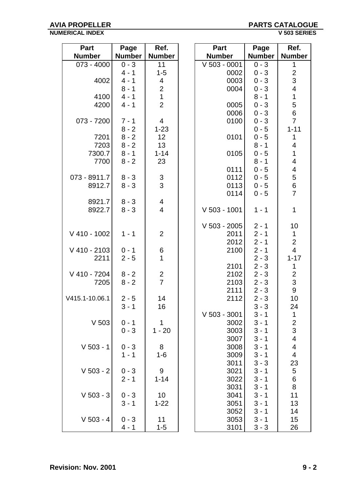#### **AVIA PROPELLER PARTS CATALOGUE NUMERICAL INDEX**

| <b>Part</b>    | Page          | Ref.                    | Part           | Page          | Ref.                     |
|----------------|---------------|-------------------------|----------------|---------------|--------------------------|
| <b>Number</b>  | <b>Number</b> | <b>Number</b>           | <b>Number</b>  | <b>Number</b> | <b>Number</b>            |
| $073 - 4000$   | $0 - 3$       | 11                      | $V$ 503 - 0001 | $0 - 3$       | 1                        |
|                | $4 - 1$       | $1 - 5$                 | 0002           | $0 - 3$       | $\mathbf{2}$             |
| 4002           | $4 - 1$       | 4                       | 0003           | $0 - 3$       | 3                        |
|                | $8 - 1$       | $\overline{c}$          | 0004           | $0 - 3$       | $\overline{\mathbf{4}}$  |
| 4100           | $4 - 1$       | $\mathbf{1}$            |                | $8 - 1$       | $\mathbf 1$              |
| 4200           | $4 - 1$       | $\overline{2}$          | 0005           | $0 - 3$       | 5                        |
|                |               |                         | 0006           | $0 - 3$       | $\,6\,$                  |
| 073 - 7200     | $7 - 1$       | $\overline{4}$          | 0100           | $0 - 3$       | $\overline{7}$           |
|                | $8 - 2$       | $1 - 23$                |                | $0 - 5$       | $1 - 11$                 |
| 7201           | $8 - 2$       | 12 <sub>2</sub>         | 0101           | $0 - 5$       | 1                        |
| 7203           | $8 - 2$       | 13                      |                | $8 - 1$       | 4                        |
| 7300.7         | $8 - 1$       | $1 - 14$                | 0105           | $0 - 5$       | $\mathbf{1}$             |
| 7700           | $8 - 2$       | 23                      |                | $8 - 1$       | $\overline{\mathbf{4}}$  |
|                |               |                         | 0111           | $0 - 5$       | 4                        |
| 073 - 8911.7   | $8 - 3$       | $\mathfrak{S}$          | 0112           | $0 - 5$       | 5                        |
| 8912.7         | $8 - 3$       | $\overline{3}$          | 0113           | $0 - 5$       | $\,6$                    |
|                |               |                         | 0114           | $0 - 5$       | $\overline{7}$           |
| 8921.7         | $8 - 3$       | 4                       |                |               |                          |
| 8922.7         | $8 - 3$       | $\overline{\mathbf{4}}$ | $V$ 503 - 1001 | $1 - 1$       | $\mathbf{1}$             |
|                |               |                         |                |               |                          |
|                |               |                         | $V$ 503 - 2005 | $2 - 1$       | 10                       |
| $V$ 410 - 1002 | $1 - 1$       | $\overline{2}$          | 2011           | $2 - 1$       | $\mathbf 1$              |
|                |               |                         | 2012           | $2 - 1$       | $\overline{2}$           |
| V 410 - 2103   | $0 - 1$       | 6                       | 2100           | $2 - 1$       | $\overline{4}$           |
| 2211           | $2 - 5$       | 1                       |                | $2 - 3$       | $1 - 17$                 |
|                |               |                         | 2101           | $2 - 3$       | 1                        |
| V 410 - 7204   | $8 - 2$       |                         | 2102           | $2 - 3$       | $\overline{c}$           |
| 7205           | $8 - 2$       | $\frac{2}{7}$           | 2103           | $2 - 3$       | 3                        |
|                |               |                         | 2111           | $2 - 3$       | 9                        |
| V415.1-10.06.1 | $2 - 5$       | 14                      | 2112           | $2 - 3$       | 10                       |
|                | $3 - 1$       | 16                      |                | $3 - 3$       | 24                       |
|                |               |                         | $V$ 503 - 3001 | $3 - 1$       | 1                        |
| $V$ 503        | $0 - 1$       | $\mathbf{1}$            | 3002           | $3 - 1$       |                          |
|                | $0 - 3$       | $1 - 20$                | 3003           | $3 - 1$       | $\frac{2}{3}$            |
|                |               |                         | 3007           | $3 - 1$       | $\overline{\mathcal{A}}$ |
| $V$ 503 - 1    | $0 - 3$       | 8                       | 3008           | $3 - 1$       | 4                        |
|                | $1 - 1$       | $1 - 6$                 | 3009           | $3 - 1$       | $\overline{\mathbf{4}}$  |
|                |               |                         | 3011           | $3 - 3$       | 23                       |
| $V$ 503 - 2    | $0 - 3$       | 9                       | 3021           | $3 - 1$       | 5                        |
|                | $2 - 1$       | $1 - 14$                | 3022           | $3 - 1$       | $6\phantom{1}$           |
|                |               |                         | 3031           | $3 - 1$       | $\, 8$                   |
| $V$ 503 - 3    | $0 - 3$       | 10                      | 3041           | $3 - 1$       | 11                       |
|                | $3 - 1$       | $1 - 22$                | 3051           | $3 - 1$       | 13                       |
|                |               |                         | 3052           | $3 - 1$       | 14                       |
| $V$ 503 - 4    | $0 - 3$       | 11                      | 3053           | $3 - 1$       | 15                       |
|                | $4 - 1$       | $1 - 5$                 | 3101           | $3 - 3$       | 26                       |
|                |               |                         |                |               |                          |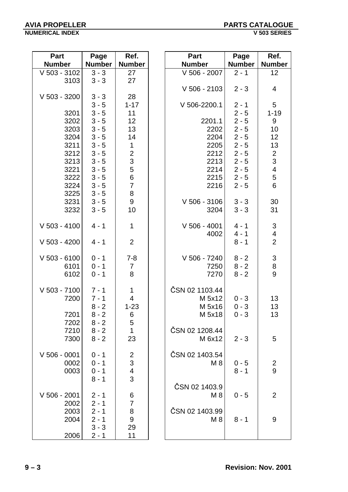**Number | Number** 

| Part           | Page          | Ref.                      | <b>Part</b>    | Page          | Ref.                                  |
|----------------|---------------|---------------------------|----------------|---------------|---------------------------------------|
| <b>Number</b>  | <b>Number</b> | <b>Number</b>             | <b>Number</b>  | <b>Number</b> | <b>Numbe</b>                          |
| $V$ 503 - 3102 | $3 - 3$       | 27                        | V 506 - 2007   | $2 - 1$       | 12                                    |
| 3103           | $3 - 3$       | 27                        |                |               |                                       |
|                |               |                           | $V$ 506 - 2103 | $2 - 3$       | 4                                     |
| V 503 - 3200   | $3 - 3$       | 28                        |                |               |                                       |
|                | $3 - 5$       | $1 - 17$                  | V 506-2200.1   | $2 - 1$       | $5\phantom{.0}$                       |
| 3201           | $3 - 5$       | 11                        |                | $2 - 5$       | $1 - 19$                              |
| 3202           | $3 - 5$       | 12                        | 2201.1         | $2 - 5$       | 9                                     |
| 3203           | $3 - 5$       | 13                        | 2202           | $2 - 5$       | 10                                    |
| 3204           | $3 - 5$       | 14                        | 2204           | $2 - 5$       | 12 <sub>2</sub>                       |
| 3211           | $3 - 5$       | $\mathbf{1}$              | 2205           | $2 - 5$       | 13                                    |
| 3212           | $3 - 5$       | $\frac{2}{3}$             | 2212           | $2 - 5$       | $\overline{2}$                        |
| 3213           | $3 - 5$       |                           | 2213           | $2 - 5$       | $\mathbf{3}$                          |
| 3221           | $3 - 5$       | 5                         | 2214           | $2 - 5$       | $\overline{\mathbf{4}}$               |
| 3222           | $3 - 5$       | $\overline{6}$            | 2215           | $2 - 5$       | $\mathbf 5$                           |
| 3224           | $3 - 5$       | $\overline{7}$            | 2216           | $2 - 5$       | $6\phantom{a}$                        |
| 3225           | $3 - 5$       | 8                         |                |               |                                       |
| 3231           | $3 - 5$       | $9\,$                     | $V$ 506 - 3106 | $3 - 3$       | 30                                    |
| 3232           | $3 - 5$       | 10                        | 3204           | $3 - 3$       | 31                                    |
| $V$ 503 - 4100 | $4 - 1$       | $\mathbf{1}$              | $V$ 506 - 4001 | $4 - 1$       | $\mathfrak{S}$                        |
|                |               |                           | 4002           | $4 - 1$       | $\overline{4}$                        |
| $V$ 503 - 4200 | $4 - 1$       | $\overline{2}$            |                | $8 - 1$       | $\overline{2}$                        |
| $V$ 503 - 6100 | $0 - 1$       | $7 - 8$                   | V 506 - 7240   | $8 - 2$       | $\mathfrak{S}$                        |
| 6101           | $0 - 1$       | 7                         | 7250           | $8 - 2$       | $\begin{array}{c} 8 \\ 9 \end{array}$ |
| 6102           | $0 - 1$       | 8                         | 7270           | $8 - 2$       |                                       |
| $V$ 503 - 7100 | $7 - 1$       | $\mathbf 1$               | ČSN 02 1103.44 |               |                                       |
| 7200           | $7 - 1$       | $\overline{4}$            | M $5x12$       | $0 - 3$       | 13 <sup>°</sup>                       |
|                | $8 - 2$       | $1 - 23$                  | M 5x16         | $0 - 3$       | 13                                    |
| 7201           | $8 - 2$       | 6                         | M 5x18         | $0 - 3$       | 13                                    |
| 7202           | $8 - 2$       | 5                         |                |               |                                       |
| 7210           | $8 - 2$       | $\overline{1}$            | ČSN 02 1208.44 |               |                                       |
| 7300           | $8 - 2$       | 23                        | M 6x12         | $2 - 3$       | 5                                     |
| $V$ 506 - 0001 | $0 - 1$       | $\overline{\mathbf{c}}$   | ČSN 02 1403.54 |               |                                       |
| 0002           | $0 - 1$       | $\ensuremath{\mathsf{3}}$ | M <sub>8</sub> | $0 - 5$       | $\overline{2}$                        |
| 0003           | $0 - 1$       | $\overline{\mathcal{A}}$  |                | $8 - 1$       | 9                                     |
|                | $8 - 1$       | $\overline{3}$            |                |               |                                       |
|                |               |                           | ČSN 02 1403.9  |               |                                       |
| V 506 - 2001   | $2 - 1$       | 6                         | M 8            | $0 - 5$       | $\overline{2}$                        |
| 2002           | $2 - 1$       | $\overline{7}$            |                |               |                                       |
| 2003           | $2 - 1$       | 8                         | ČSN 02 1403.99 |               |                                       |
| 2004           | $2 - 1$       | $\boldsymbol{9}$          | M <sub>8</sub> | $8 - 1$       | 9                                     |
|                | $3 - 3$       | 29                        |                |               |                                       |
| 2006           | $2 - 1$       | 11                        |                |               |                                       |

| V 506 - 2103                                                           | $2 - 3$                                                                                                    | 4                                                                                                             |
|------------------------------------------------------------------------|------------------------------------------------------------------------------------------------------------|---------------------------------------------------------------------------------------------------------------|
| V 506-2200.1                                                           | $2 - 1$                                                                                                    | 5                                                                                                             |
| 2201.1<br>2202<br>2204<br>2205<br>2212<br>2213<br>2214<br>2215<br>2216 | $2 - 5$<br>$2 - 5$<br>$2 - 5$<br>$2 - 5$<br>$2 - 5$<br>$2 - 5$<br>$2 - 5$<br>$2 - 5$<br>$2 - 5$<br>$2 - 5$ | $1 - 19$<br>9<br>10<br>12<br>13<br>$\overline{\mathbf{c}}$<br>$\sqrt{3}$<br>$\overline{\mathbf{4}}$<br>5<br>6 |
| V 506 - 3106<br>3204                                                   | $3 - 3$<br>$3 - 3$                                                                                         | 30<br>31                                                                                                      |
| $V$ 506 - 4001<br>4002                                                 | $4 - 1$<br>$4 - 1$<br>$8 - 1$                                                                              | $\frac{3}{4}$<br>$\overline{2}$                                                                               |
| V 506 - 7240<br>7250<br>7270                                           | $8 - 2$<br>$8 - 2$<br>$8 - 2$                                                                              | 3<br>$\begin{array}{c} 8 \\ 9 \end{array}$                                                                    |
| ČSN 02 1103.44<br>M 5x12<br>M 5x16<br>M 5x18                           | $0 - 3$<br>$0 - 3$<br>$0 - 3$                                                                              | 13<br>13<br>13                                                                                                |
| ČSN 02 1208.44<br>M 6x12                                               | $2 - 3$                                                                                                    | 5                                                                                                             |
| ČSN 02 1403.54<br>M 8                                                  | $0 - 5$<br>$8 - 1$                                                                                         | $\overline{\mathbf{c}}$<br>9                                                                                  |
| ČSN 02 1403.9<br>M 8                                                   | $0 - 5$                                                                                                    | 2                                                                                                             |
| ČSN 02 1403.99<br>M 8                                                  | 8 - 1                                                                                                      | 9                                                                                                             |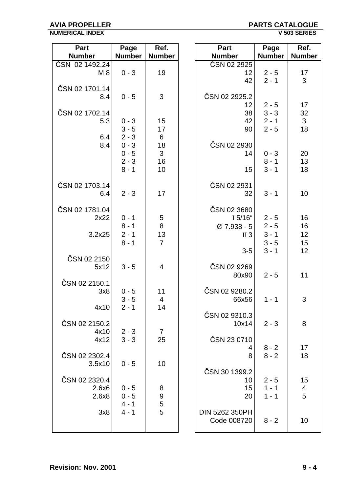#### **AVIA PROPELLER PARTS CATALOGUE NUMERICAL INDEX**

| <b>Part</b>    | Page          | Ref.                 | Part                            | Page          | Ref.          |
|----------------|---------------|----------------------|---------------------------------|---------------|---------------|
| <b>Number</b>  | <b>Number</b> | <b>Number</b>        | <b>Number</b>                   | <b>Number</b> | <b>Number</b> |
| ČSN 02 1492.24 |               |                      | $\overline{\text{CSN 02}}$ 2925 |               |               |
| M 8            | $0 - 3$       | 19                   | 12 <sub>2</sub>                 | $2 - 5$       | 17            |
|                |               |                      | 42                              | $2 - 1$       | 3             |
| ČSN 02 1701.14 |               |                      |                                 |               |               |
| 8.4            | $0 - 5$       | 3                    | ČSN 02 2925.2                   |               |               |
|                |               |                      | 12 <sub>2</sub>                 | $2 - 5$       | 17            |
| ČSN 02 1702.14 |               |                      | 38                              | $3 - 3$       | 32            |
| 5.3            | $0 - 3$       | 15                   | 42                              | $2 - 1$       | 3             |
|                | $3 - 5$       | 17                   | 90                              | $2 - 5$       | 18            |
| 6.4            | $2 - 3$       | 6                    |                                 |               |               |
| 8.4            | $0 - 3$       | 18                   | ČSN 02 2930                     |               |               |
|                | $0 - 5$       | 3                    | 14                              | $0 - 3$       | 20            |
|                | $2 - 3$       | 16                   |                                 | $8 - 1$       | 13            |
|                | $8 - 1$       | 10                   | 15                              | $3 - 1$       | 18            |
| ČSN 02 1703.14 |               |                      | ČSN 02 2931                     |               |               |
| 6.4            | $2 - 3$       | 17                   | 32                              | $3 - 1$       | 10            |
|                |               |                      |                                 |               |               |
| ČSN 02 1781.04 |               |                      | ČSN 02 3680                     |               |               |
| 2x22           | $0 - 1$       | 5                    | I 5/16"                         | $2 - 5$       | 16            |
|                | $8 - 1$       | 8                    | $\varnothing$ 7.938 - 5         | $2 - 5$       | 16            |
| 3.2x25         | $2 - 1$       | 13                   | II <sub>3</sub>                 | $3 - 1$       | 12            |
|                | $8 - 1$       | $\overline{7}$       |                                 | $3 - 5$       | 15            |
|                |               |                      | $3-5$                           | $3 - 1$       | 12            |
| ČSN 02 2150    |               |                      |                                 |               |               |
| 5x12           | $3 - 5$       | $\overline{4}$       | ČSN 02 9269                     |               |               |
|                |               |                      | 80x90                           | $2 - 5$       | 11            |
| ČSN 02 2150.1  |               |                      |                                 |               |               |
| 3x8            | $0 - 5$       | 11                   | ČSN 02 9280.2                   |               |               |
|                | $3 - 5$       | $\overline{4}$       | 66x56                           | $1 - 1$       | 3             |
| 4x10           | $2 - 1$       | 14                   |                                 |               |               |
|                |               |                      | ČSN 02 9310.3                   |               |               |
| ČSN 02 2150.2  | $2 - 3$       |                      | 10x14                           | $2 - 3$       | 8             |
| 4x10<br>4x12   | $3 - 3$       | $\overline{7}$<br>25 | ČSN 23 0710                     |               |               |
|                |               |                      | 4                               | $8 - 2$       | 17            |
| ČSN 02 2302.4  |               |                      | 8                               | $8 - 2$       | 18            |
| 3.5x10         | $0 - 5$       | 10                   |                                 |               |               |
|                |               |                      | ČSN 30 1399.2                   |               |               |
| ČSN 02 2320.4  |               |                      | 10                              | $2 - 5$       | 15            |
| 2.6x6          | $0 - 5$       | 8                    | 15                              | $1 - 1$       | 4             |
| 2.6x8          | $0 - 5$       | 9                    | 20                              | $1 - 1$       | 5             |
|                | $4 - 1$       | 5                    |                                 |               |               |
| 3x8            | $4 - 1$       | 5                    | DIN 5262 350PH                  |               |               |
|                |               |                      | Code 008720                     | $8 - 2$       | 10            |
|                |               |                      |                                 |               |               |